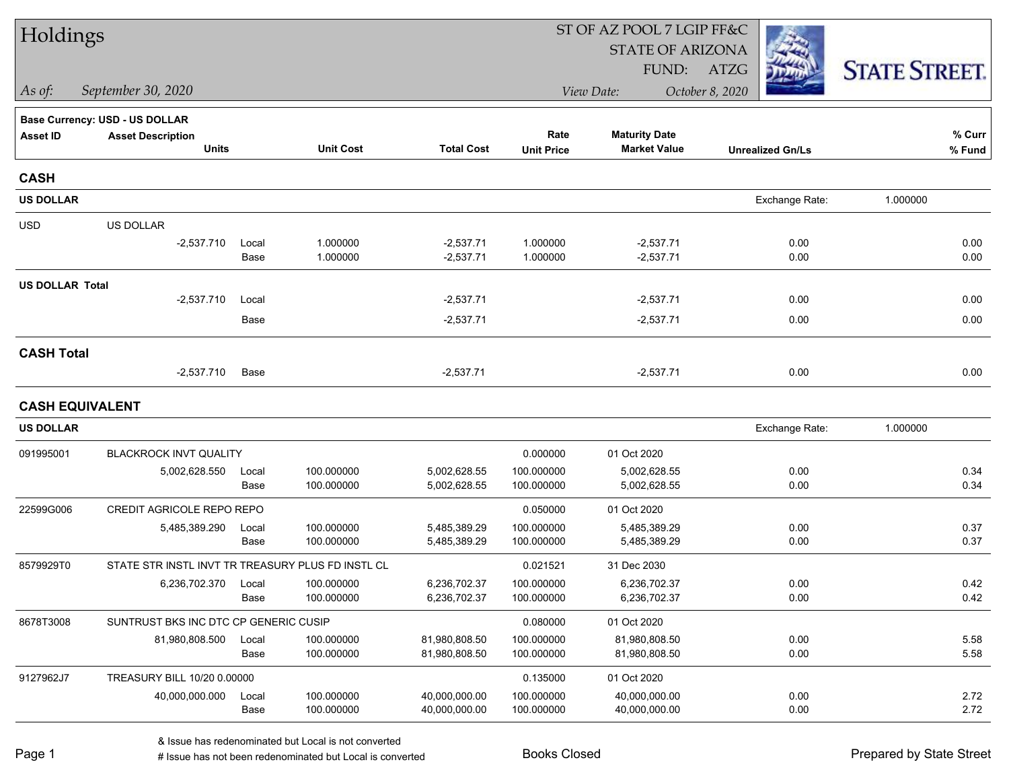| Holdings               |                                                   |               |                          |                                | ST OF AZ POOL 7 LGIP FF&C |                                             |                         |                      |  |  |
|------------------------|---------------------------------------------------|---------------|--------------------------|--------------------------------|---------------------------|---------------------------------------------|-------------------------|----------------------|--|--|
|                        |                                                   |               |                          |                                |                           | <b>STATE OF ARIZONA</b>                     |                         |                      |  |  |
|                        |                                                   |               |                          |                                |                           | FUND:                                       | ATZG                    | <b>STATE STREET.</b> |  |  |
| As of:                 | September 30, 2020                                |               |                          |                                |                           | View Date:                                  | October 8, 2020         |                      |  |  |
|                        | Base Currency: USD - US DOLLAR                    |               |                          |                                |                           |                                             |                         |                      |  |  |
| <b>Asset ID</b>        | <b>Asset Description</b><br><b>Units</b>          |               | <b>Unit Cost</b>         | <b>Total Cost</b>              | Rate<br><b>Unit Price</b> | <b>Maturity Date</b><br><b>Market Value</b> | <b>Unrealized Gn/Ls</b> | % Curr<br>% Fund     |  |  |
| <b>CASH</b>            |                                                   |               |                          |                                |                           |                                             |                         |                      |  |  |
| <b>US DOLLAR</b>       |                                                   |               |                          |                                |                           |                                             | Exchange Rate:          | 1.000000             |  |  |
| <b>USD</b>             | US DOLLAR                                         |               |                          |                                |                           |                                             |                         |                      |  |  |
|                        | $-2,537.710$                                      | Local<br>Base | 1.000000<br>1.000000     | $-2,537.71$<br>$-2,537.71$     | 1.000000<br>1.000000      | $-2,537.71$<br>$-2,537.71$                  | 0.00<br>0.00            | 0.00<br>0.00         |  |  |
| <b>US DOLLAR Total</b> |                                                   |               |                          |                                |                           |                                             |                         |                      |  |  |
|                        | $-2,537.710$                                      | Local         |                          | $-2,537.71$                    |                           | $-2,537.71$                                 | 0.00                    | 0.00                 |  |  |
|                        |                                                   | Base          |                          | $-2,537.71$                    |                           | $-2,537.71$                                 | 0.00                    | 0.00                 |  |  |
| <b>CASH Total</b>      |                                                   |               |                          |                                |                           |                                             |                         |                      |  |  |
|                        | $-2,537.710$                                      | Base          |                          | $-2,537.71$                    |                           | $-2,537.71$                                 | 0.00                    | 0.00                 |  |  |
| <b>CASH EQUIVALENT</b> |                                                   |               |                          |                                |                           |                                             |                         |                      |  |  |
| <b>US DOLLAR</b>       |                                                   |               |                          |                                |                           |                                             | Exchange Rate:          | 1.000000             |  |  |
| 091995001              | BLACKROCK INVT QUALITY                            |               |                          |                                | 0.000000                  | 01 Oct 2020                                 |                         |                      |  |  |
|                        | 5,002,628.550                                     | Local         | 100.000000               | 5,002,628.55                   | 100.000000                | 5,002,628.55                                | 0.00                    | 0.34                 |  |  |
|                        |                                                   | Base          | 100.000000               | 5,002,628.55                   | 100.000000                | 5,002,628.55                                | 0.00                    | 0.34                 |  |  |
| 22599G006              | <b>CREDIT AGRICOLE REPO REPO</b>                  |               |                          |                                | 0.050000                  | 01 Oct 2020                                 |                         |                      |  |  |
|                        | 5,485,389.290                                     | Local<br>Base | 100.000000<br>100.000000 | 5,485,389.29<br>5,485,389.29   | 100.000000<br>100.000000  | 5,485,389.29<br>5,485,389.29                | 0.00<br>0.00            | 0.37<br>0.37         |  |  |
| 8579929T0              | STATE STR INSTL INVT TR TREASURY PLUS FD INSTL CL |               |                          |                                | 0.021521                  | 31 Dec 2030                                 |                         |                      |  |  |
|                        | 6,236,702.370 Local                               |               | 100.000000               | 6,236,702.37                   | 100.000000                | 6,236,702.37                                | 0.00                    | 0.42                 |  |  |
|                        |                                                   | Base          | 100.000000               | 6,236,702.37                   | 100.000000                | 6,236,702.37                                | 0.00                    | 0.42                 |  |  |
| 8678T3008              | SUNTRUST BKS INC DTC CP GENERIC CUSIP             |               |                          |                                | 0.080000                  | 01 Oct 2020                                 |                         |                      |  |  |
|                        | 81,980,808.500                                    | Local         | 100.000000               | 81,980,808.50                  | 100.000000                | 81,980,808.50                               | 0.00                    | 5.58                 |  |  |
|                        |                                                   | Base          | 100.000000               | 81,980,808.50                  | 100.000000                | 81,980,808.50                               | 0.00                    | 5.58                 |  |  |
| 9127962J7              | TREASURY BILL 10/20 0.00000                       |               |                          |                                | 0.135000                  | 01 Oct 2020                                 |                         |                      |  |  |
|                        | 40,000,000.000                                    | Local<br>Base | 100.000000<br>100.000000 | 40,000,000.00<br>40,000,000.00 | 100.000000<br>100.000000  | 40,000,000.00<br>40,000,000.00              | 0.00<br>0.00            | 2.72<br>2.72         |  |  |
|                        |                                                   |               |                          |                                |                           |                                             |                         |                      |  |  |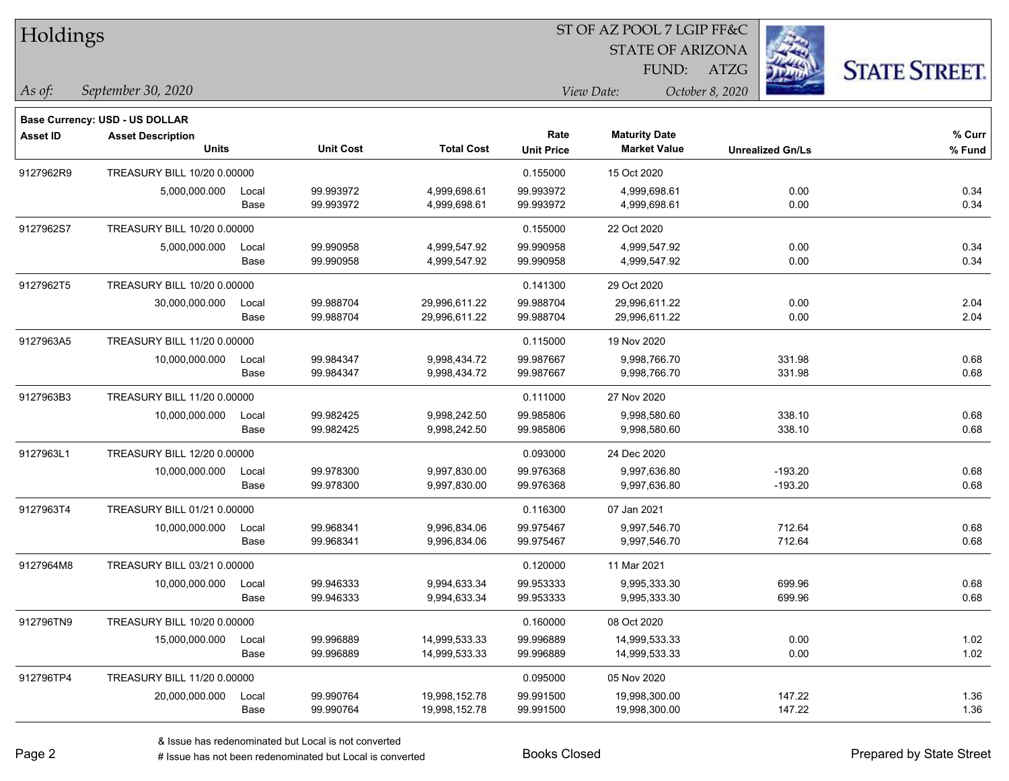| Holdings        |                                                                                                                                      |       |                  |                   | ST OF AZ POOL 7 LGIP FF&C |                                             |                         |                      |
|-----------------|--------------------------------------------------------------------------------------------------------------------------------------|-------|------------------|-------------------|---------------------------|---------------------------------------------|-------------------------|----------------------|
|                 |                                                                                                                                      |       |                  |                   |                           | <b>STATE OF ARIZONA</b>                     |                         |                      |
|                 |                                                                                                                                      |       |                  |                   |                           | FUND:                                       | ATZG                    | <b>STATE STREET.</b> |
| As of:          | September 30, 2020                                                                                                                   |       |                  |                   |                           | View Date:                                  | October 8, 2020         |                      |
|                 | <b>Base Currency: USD - US DOLLAR</b>                                                                                                |       |                  |                   |                           |                                             |                         |                      |
| <b>Asset ID</b> | <b>Asset Description</b><br><b>Units</b>                                                                                             |       | <b>Unit Cost</b> | <b>Total Cost</b> | Rate<br><b>Unit Price</b> | <b>Maturity Date</b><br><b>Market Value</b> | <b>Unrealized Gn/Ls</b> | % Curr<br>% Fund     |
| 9127962R9       | <b>TREASURY BILL 10/20 0.00000</b>                                                                                                   |       |                  |                   | 0.155000                  | 15 Oct 2020                                 |                         |                      |
|                 | 5,000,000.000                                                                                                                        | Local | 99.993972        | 4,999,698.61      | 99.993972                 | 4,999,698.61                                | 0.00                    | 0.34                 |
|                 |                                                                                                                                      | Base  | 99.993972        | 4,999,698.61      | 99.993972                 | 4,999,698.61                                | 0.00                    | 0.34                 |
| 9127962S7       | <b>TREASURY BILL 10/20 0.00000</b>                                                                                                   |       |                  |                   | 0.155000                  | 22 Oct 2020                                 |                         |                      |
|                 | 5,000,000.000                                                                                                                        | Local | 99.990958        | 4,999,547.92      | 99.990958                 | 4,999,547.92                                | 0.00                    | 0.34                 |
|                 |                                                                                                                                      | Base  | 99.990958        | 4,999,547.92      | 99.990958                 | 4,999,547.92                                | 0.00                    | 0.34                 |
| 9127962T5       |                                                                                                                                      |       |                  |                   | 0.141300                  | 29 Oct 2020                                 |                         |                      |
|                 | 30,000,000.000                                                                                                                       | Local | 99.988704        | 29,996,611.22     | 99.988704                 | 29,996,611.22                               | 0.00                    | 2.04                 |
|                 |                                                                                                                                      | Base  | 99.988704        | 29,996,611.22     | 99.988704                 | 29,996,611.22                               | 0.00                    | 2.04                 |
| 9127963A5       | TREASURY BILL 10/20 0.00000<br><b>TREASURY BILL 11/20 0.00000</b><br>10,000,000.000<br>TREASURY BILL 11/20 0.00000<br>10,000,000.000 |       |                  |                   | 0.115000                  | 19 Nov 2020                                 |                         |                      |
|                 |                                                                                                                                      | Local | 99.984347        | 9,998,434.72      | 99.987667                 | 9,998,766.70                                | 331.98                  | 0.68                 |
|                 |                                                                                                                                      | Base  | 99.984347        | 9,998,434.72      | 99.987667                 | 9,998,766.70                                | 331.98                  | 0.68                 |
| 9127963B3       |                                                                                                                                      |       |                  |                   | 0.111000                  | 27 Nov 2020                                 |                         |                      |
|                 |                                                                                                                                      | Local | 99.982425        | 9,998,242.50      | 99.985806                 | 9,998,580.60                                | 338.10                  | 0.68                 |
|                 |                                                                                                                                      | Base  | 99.982425        | 9,998,242.50      | 99.985806                 | 9,998,580.60                                | 338.10                  | 0.68                 |
| 9127963L1       | TREASURY BILL 12/20 0.00000                                                                                                          |       |                  |                   | 0.093000                  | 24 Dec 2020                                 |                         |                      |
|                 | 10,000,000.000                                                                                                                       | Local | 99.978300        | 9,997,830.00      | 99.976368                 | 9,997,636.80                                | $-193.20$               | 0.68                 |
|                 |                                                                                                                                      | Base  | 99.978300        | 9,997,830.00      | 99.976368                 | 9,997,636.80                                | $-193.20$               | 0.68                 |
| 9127963T4       | TREASURY BILL 01/21 0.00000                                                                                                          |       |                  |                   | 0.116300                  | 07 Jan 2021                                 |                         |                      |
|                 | 10,000,000.000                                                                                                                       | Local | 99.968341        | 9,996,834.06      | 99.975467                 | 9,997,546.70                                | 712.64                  | 0.68                 |
|                 |                                                                                                                                      | Base  | 99.968341        | 9,996,834.06      | 99.975467                 | 9,997,546.70                                | 712.64                  | 0.68                 |
| 9127964M8       | TREASURY BILL 03/21 0.00000                                                                                                          |       |                  |                   | 0.120000                  | 11 Mar 2021                                 |                         |                      |
|                 | 10,000,000.000 Local                                                                                                                 |       | 99.946333        | 9,994,633.34      | 99.953333                 | 9,995,333.30                                | 699.96                  | 0.68                 |
|                 |                                                                                                                                      | Base  | 99.946333        | 9,994,633.34      | 99.953333                 | 9,995,333.30                                | 699.96                  | 0.68                 |
| 912796TN9       | TREASURY BILL 10/20 0.00000                                                                                                          |       |                  |                   | 0.160000                  | 08 Oct 2020                                 |                         |                      |
|                 | 15,000,000.000                                                                                                                       | Local | 99.996889        | 14,999,533.33     | 99.996889                 | 14,999,533.33                               | 0.00                    | 1.02                 |
|                 |                                                                                                                                      | Base  | 99.996889        | 14,999,533.33     | 99.996889                 | 14,999,533.33                               | 0.00                    | 1.02                 |
| 912796TP4       | TREASURY BILL 11/20 0.00000                                                                                                          |       |                  |                   | 0.095000                  | 05 Nov 2020                                 |                         |                      |
|                 | 20,000,000.000 Local                                                                                                                 |       | 99.990764        | 19,998,152.78     | 99.991500                 | 19,998,300.00                               | 147.22                  | 1.36                 |

-

 $\overline{\phantom{0}}$ 

Base 99.990764 19,998,152.78 99.991500 19,998,300.00 147.22 1.36

denote the redenominated but Local is converted Books Closed Prepared by State Street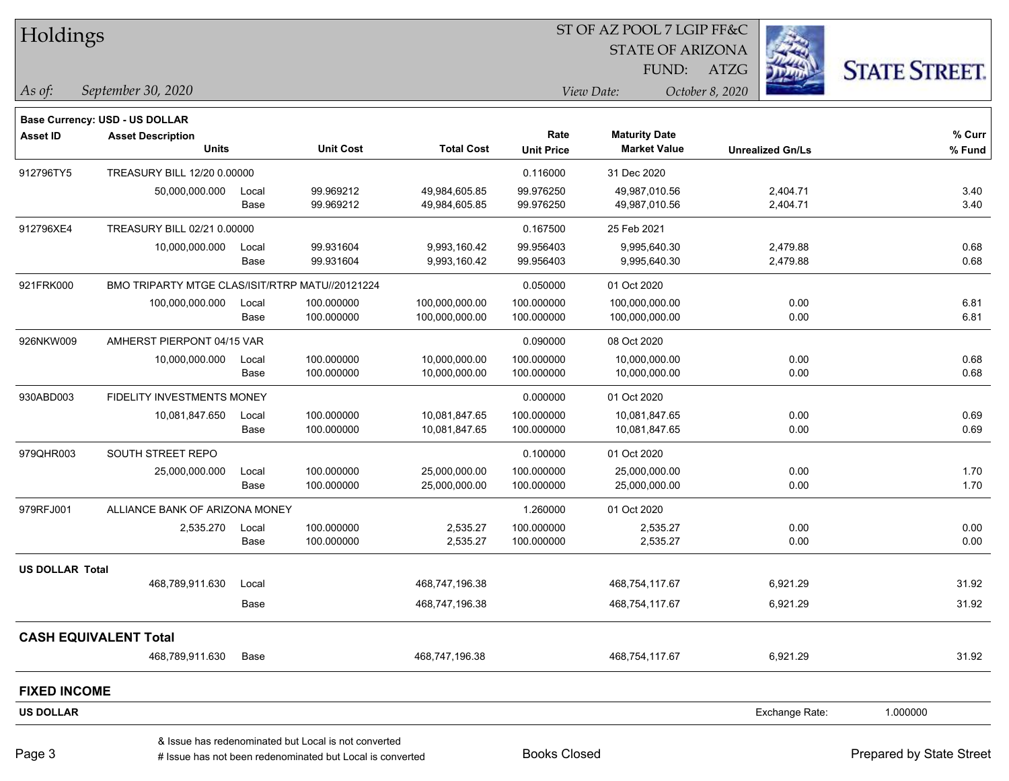| Holdings               |                                                 |               |                                                      |                                  |                          | ST OF AZ POOL 7 LGIP FF&C        |                         |                      |  |
|------------------------|-------------------------------------------------|---------------|------------------------------------------------------|----------------------------------|--------------------------|----------------------------------|-------------------------|----------------------|--|
|                        |                                                 |               |                                                      |                                  |                          | <b>STATE OF ARIZONA</b>          |                         |                      |  |
|                        |                                                 |               |                                                      |                                  |                          | FUND:                            | ATZG                    | <b>STATE STREET.</b> |  |
| As of:                 | September 30, 2020                              |               |                                                      |                                  |                          | View Date:                       | October 8, 2020         |                      |  |
|                        | <b>Base Currency: USD - US DOLLAR</b>           |               |                                                      |                                  |                          |                                  |                         |                      |  |
| <b>Asset ID</b>        | <b>Asset Description</b>                        |               |                                                      |                                  | Rate                     | <b>Maturity Date</b>             |                         | % Curr               |  |
|                        | <b>Units</b>                                    |               | <b>Unit Cost</b>                                     | <b>Total Cost</b>                | <b>Unit Price</b>        | <b>Market Value</b>              | <b>Unrealized Gn/Ls</b> | % Fund               |  |
| 912796TY5              | TREASURY BILL 12/20 0.00000                     |               |                                                      |                                  | 0.116000                 | 31 Dec 2020                      |                         |                      |  |
|                        | 50,000,000.000                                  | Local         | 99.969212                                            | 49,984,605.85                    | 99.976250                | 49,987,010.56                    | 2,404.71                | 3.40                 |  |
|                        |                                                 | Base          | 99.969212                                            | 49,984,605.85                    | 99.976250                | 49,987,010.56                    | 2,404.71                | 3.40                 |  |
| 912796XE4              | TREASURY BILL 02/21 0.00000                     |               |                                                      |                                  | 0.167500                 | 25 Feb 2021                      |                         |                      |  |
|                        | 10,000,000.000                                  | Local         | 99.931604<br>99.931604                               | 9,993,160.42                     | 99.956403<br>99.956403   | 9,995,640.30<br>9,995,640.30     | 2,479.88                | 0.68<br>0.68         |  |
|                        |                                                 | Base          |                                                      | 9,993,160.42                     |                          |                                  | 2,479.88                |                      |  |
| 921FRK000              | BMO TRIPARTY MTGE CLAS/ISIT/RTRP MATU//20121224 |               |                                                      |                                  | 0.050000                 | 01 Oct 2020                      |                         |                      |  |
|                        | 100,000,000.000                                 | Local<br>Base | 100.000000<br>100.000000                             | 100,000,000.00<br>100,000,000.00 | 100.000000<br>100.000000 | 100,000,000.00<br>100,000,000.00 | 0.00<br>0.00            | 6.81<br>6.81         |  |
|                        |                                                 |               |                                                      |                                  |                          |                                  |                         |                      |  |
| 926NKW009              | AMHERST PIERPONT 04/15 VAR                      |               |                                                      |                                  | 0.090000                 | 08 Oct 2020                      |                         |                      |  |
|                        | 10,000,000.000                                  | Local<br>Base | 100.000000<br>100.000000                             | 10,000,000.00<br>10,000,000.00   | 100.000000<br>100.000000 | 10,000,000.00<br>10,000,000.00   | 0.00<br>0.00            | 0.68<br>0.68         |  |
| 930ABD003              | FIDELITY INVESTMENTS MONEY                      |               |                                                      |                                  | 0.000000                 | 01 Oct 2020                      |                         |                      |  |
|                        | 10,081,847.650                                  | Local         | 100.000000                                           | 10,081,847.65                    | 100.000000               | 10,081,847.65                    | 0.00                    | 0.69                 |  |
|                        |                                                 | Base          | 100.000000                                           | 10,081,847.65                    | 100.000000               | 10,081,847.65                    | 0.00                    | 0.69                 |  |
| 979QHR003              | SOUTH STREET REPO                               |               |                                                      |                                  | 0.100000                 | 01 Oct 2020                      |                         |                      |  |
|                        | 25,000,000.000                                  | Local         | 100.000000                                           | 25,000,000.00                    | 100.000000               | 25,000,000.00                    | 0.00                    | 1.70                 |  |
|                        |                                                 | Base          | 100.000000                                           | 25,000,000.00                    | 100.000000               | 25,000,000.00                    | 0.00                    | 1.70                 |  |
| 979RFJ001              | ALLIANCE BANK OF ARIZONA MONEY                  |               |                                                      |                                  | 1.260000                 | 01 Oct 2020                      |                         |                      |  |
|                        | 2,535.270                                       | Local         | 100.000000                                           | 2,535.27                         | 100.000000               | 2,535.27                         | 0.00                    | 0.00                 |  |
|                        |                                                 | Base          | 100.000000                                           | 2,535.27                         | 100.000000               | 2,535.27                         | 0.00                    | 0.00                 |  |
| <b>US DOLLAR Total</b> |                                                 |               |                                                      |                                  |                          |                                  |                         |                      |  |
|                        | 468,789,911.630                                 | Local         |                                                      | 468,747,196.38                   |                          | 468,754,117.67                   | 6,921.29                | 31.92                |  |
|                        |                                                 | Base          |                                                      | 468,747,196.38                   |                          | 468,754,117.67                   | 6,921.29                | 31.92                |  |
|                        | <b>CASH EQUIVALENT Total</b>                    |               |                                                      |                                  |                          |                                  |                         |                      |  |
|                        | 468,789,911.630                                 | Base          |                                                      | 468,747,196.38                   |                          | 468,754,117.67                   | 6,921.29                | 31.92                |  |
| <b>FIXED INCOME</b>    |                                                 |               |                                                      |                                  |                          |                                  |                         |                      |  |
| <b>US DOLLAR</b>       |                                                 |               |                                                      |                                  |                          |                                  | Exchange Rate:          | 1.000000             |  |
|                        |                                                 |               | & Issue has redenominated but Local is not converted |                                  |                          |                                  |                         |                      |  |

# Issue has not been redenominated but Local is converted Books Closed Prepared by State Street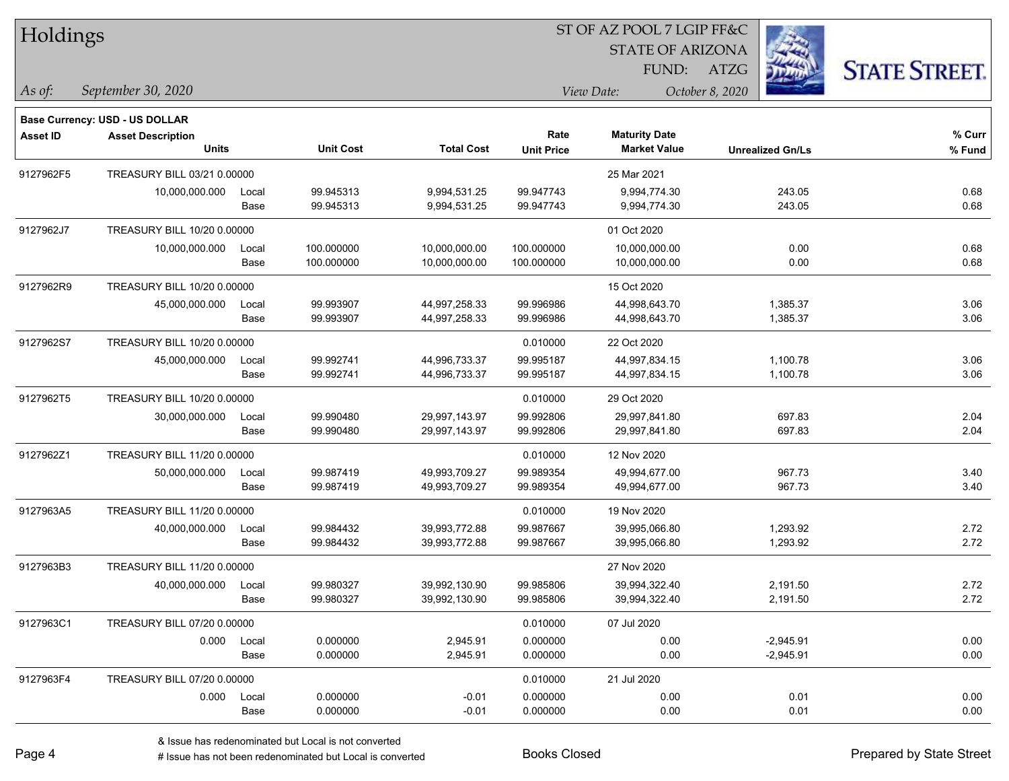| Holdings        |                                          |               |                          |                                | ST OF AZ POOL 7 LGIP FF&C<br><b>STATE OF ARIZONA</b> |                                             |                            |                      |
|-----------------|------------------------------------------|---------------|--------------------------|--------------------------------|------------------------------------------------------|---------------------------------------------|----------------------------|----------------------|
|                 |                                          |               |                          |                                |                                                      | FUND:                                       | ATZG                       | <b>STATE STREET.</b> |
| As of:          | September 30, 2020                       |               |                          |                                |                                                      | View Date:                                  | October 8, 2020            |                      |
|                 | Base Currency: USD - US DOLLAR           |               |                          |                                |                                                      |                                             |                            |                      |
| <b>Asset ID</b> | <b>Asset Description</b><br><b>Units</b> |               | <b>Unit Cost</b>         | <b>Total Cost</b>              | Rate<br><b>Unit Price</b>                            | <b>Maturity Date</b><br><b>Market Value</b> | <b>Unrealized Gn/Ls</b>    | % Curr<br>% Fund     |
| 9127962F5       | TREASURY BILL 03/21 0.00000              |               |                          |                                |                                                      | 25 Mar 2021                                 |                            |                      |
|                 | 10,000,000.000                           | Local<br>Base | 99.945313<br>99.945313   | 9,994,531.25<br>9,994,531.25   | 99.947743<br>99.947743                               | 9,994,774.30<br>9,994,774.30                | 243.05<br>243.05           | 0.68<br>0.68         |
| 9127962J7       | TREASURY BILL 10/20 0.00000              |               |                          |                                |                                                      | 01 Oct 2020                                 |                            |                      |
|                 | 10,000,000.000                           | Local<br>Base | 100.000000<br>100.000000 | 10,000,000.00<br>10,000,000.00 | 100.000000<br>100.000000                             | 10,000,000.00<br>10,000,000.00              | 0.00<br>0.00               | 0.68<br>0.68         |
| 9127962R9       | TREASURY BILL 10/20 0.00000              |               |                          |                                |                                                      | 15 Oct 2020                                 |                            |                      |
|                 | 45,000,000.000                           | Local<br>Base | 99.993907<br>99.993907   | 44,997,258.33<br>44,997,258.33 | 99.996986<br>99.996986                               | 44,998,643.70<br>44,998,643.70              | 1,385.37<br>1,385.37       | 3.06<br>3.06         |
| 9127962S7       | TREASURY BILL 10/20 0.00000              |               |                          |                                | 0.010000                                             | 22 Oct 2020                                 |                            |                      |
|                 | 45,000,000.000                           | Local<br>Base | 99.992741<br>99.992741   | 44,996,733.37<br>44,996,733.37 | 99.995187<br>99.995187                               | 44,997,834.15<br>44,997,834.15              | 1,100.78<br>1,100.78       | 3.06<br>3.06         |
| 9127962T5       | TREASURY BILL 10/20 0.00000              |               |                          |                                | 0.010000                                             | 29 Oct 2020                                 |                            |                      |
|                 | 30,000,000.000                           | Local<br>Base | 99.990480<br>99.990480   | 29,997,143.97<br>29,997,143.97 | 99.992806<br>99.992806                               | 29,997,841.80<br>29,997,841.80              | 697.83<br>697.83           | 2.04<br>2.04         |
| 9127962Z1       | TREASURY BILL 11/20 0.00000              |               |                          |                                | 0.010000                                             | 12 Nov 2020                                 |                            |                      |
|                 | 50,000,000.000                           | Local<br>Base | 99.987419<br>99.987419   | 49,993,709.27<br>49,993,709.27 | 99.989354<br>99.989354                               | 49,994,677.00<br>49,994,677.00              | 967.73<br>967.73           | 3.40<br>3.40         |
| 9127963A5       | TREASURY BILL 11/20 0.00000              |               |                          |                                | 0.010000                                             | 19 Nov 2020                                 |                            |                      |
|                 | 40,000,000.000                           | Local<br>Base | 99.984432<br>99.984432   | 39,993,772.88<br>39,993,772.88 | 99.987667<br>99.987667                               | 39,995,066.80<br>39,995,066.80              | 1,293.92<br>1,293.92       | 2.72<br>2.72         |
| 9127963B3       | TREASURY BILL 11/20 0.00000              |               |                          |                                |                                                      | 27 Nov 2020                                 |                            |                      |
|                 | 40,000,000.000                           | Local<br>Base | 99.980327<br>99.980327   | 39,992,130.90<br>39,992,130.90 | 99.985806<br>99.985806                               | 39,994,322.40<br>39,994,322.40              | 2,191.50<br>2,191.50       | 2.72<br>2.72         |
| 9127963C1       | TREASURY BILL 07/20 0.00000              |               |                          |                                | 0.010000                                             | 07 Jul 2020                                 |                            |                      |
|                 | 0.000                                    | Local<br>Base | 0.000000<br>0.000000     | 2,945.91<br>2,945.91           | 0.000000<br>0.000000                                 | 0.00<br>0.00                                | $-2,945.91$<br>$-2,945.91$ | 0.00<br>0.00         |
| 9127963F4       | TREASURY BILL 07/20 0.00000              |               |                          |                                | 0.010000                                             | 21 Jul 2020                                 |                            |                      |
|                 | 0.000                                    | Local<br>Base | 0.000000<br>0.000000     | $-0.01$<br>$-0.01$             | 0.000000<br>0.000000                                 | 0.00<br>0.00                                | 0.01<br>0.01               | 0.00<br>0.00         |

 $\overline{\phantom{a}}$ 

 $\overline{\phantom{0}}$ 

 $\overline{\phantom{a}}$ 

denote the redenominated but Local is converted Books Closed Prepared by State Street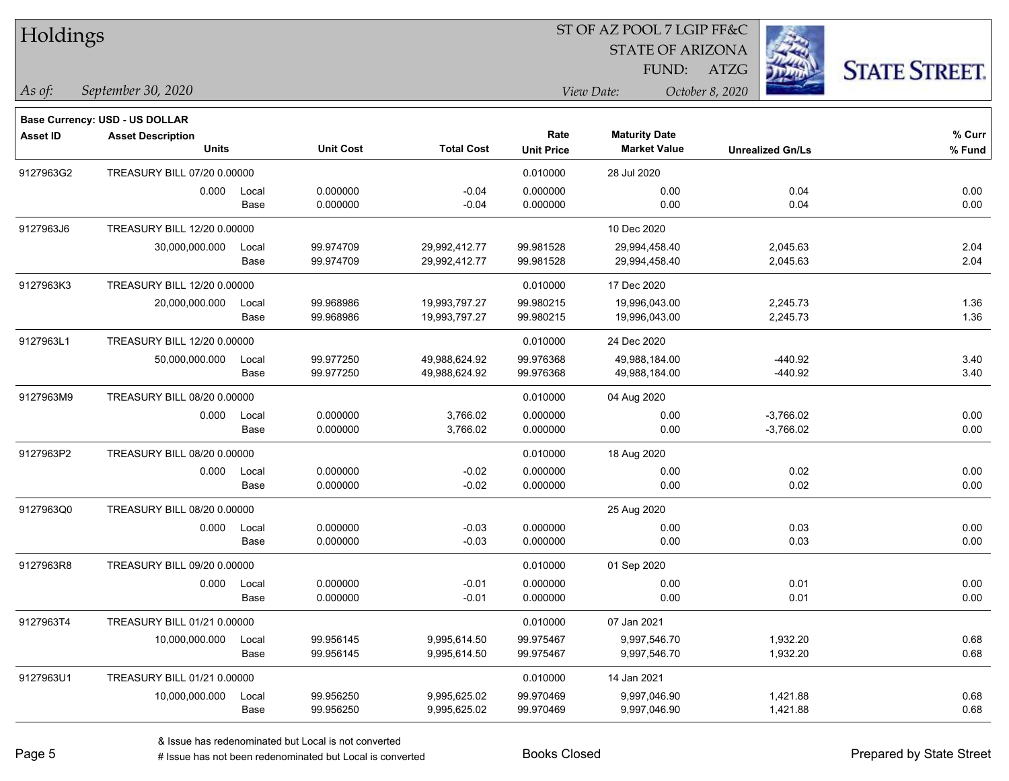| Holdings        |                                                                   |       |                  |                   |                   | ST OF AZ POOL 7 LGIP FF&C |                         |                      |
|-----------------|-------------------------------------------------------------------|-------|------------------|-------------------|-------------------|---------------------------|-------------------------|----------------------|
|                 |                                                                   |       |                  |                   |                   | <b>STATE OF ARIZONA</b>   |                         |                      |
|                 |                                                                   |       |                  |                   |                   | FUND:                     | ATZG                    | <b>STATE STREET.</b> |
| As of:          | September 30, 2020                                                |       |                  |                   |                   | View Date:                | October 8, 2020         |                      |
|                 |                                                                   |       |                  |                   |                   |                           |                         |                      |
| <b>Asset ID</b> | <b>Base Currency: USD - US DOLLAR</b><br><b>Asset Description</b> |       |                  |                   | Rate              | <b>Maturity Date</b>      |                         | % Curr               |
|                 | <b>Units</b>                                                      |       | <b>Unit Cost</b> | <b>Total Cost</b> | <b>Unit Price</b> | <b>Market Value</b>       | <b>Unrealized Gn/Ls</b> | % Fund               |
| 9127963G2       | TREASURY BILL 07/20 0.00000                                       |       |                  |                   | 0.010000          | 28 Jul 2020               |                         |                      |
|                 | 0.000                                                             | Local | 0.000000         | $-0.04$           | 0.000000          | 0.00                      | 0.04                    | 0.00                 |
|                 |                                                                   | Base  | 0.000000         | $-0.04$           | 0.000000          | 0.00                      | 0.04                    | 0.00                 |
| 9127963J6       | TREASURY BILL 12/20 0.00000                                       |       |                  |                   |                   | 10 Dec 2020               |                         |                      |
|                 | 30,000,000.000                                                    | Local | 99.974709        | 29,992,412.77     | 99.981528         | 29,994,458.40             | 2,045.63                | 2.04                 |
|                 |                                                                   | Base  | 99.974709        | 29,992,412.77     | 99.981528         | 29,994,458.40             | 2,045.63                | 2.04                 |
| 9127963K3       | TREASURY BILL 12/20 0.00000                                       |       |                  |                   | 0.010000          | 17 Dec 2020               |                         |                      |
|                 | 20,000,000.000                                                    | Local | 99.968986        | 19,993,797.27     | 99.980215         | 19,996,043.00             | 2,245.73                | 1.36                 |
|                 |                                                                   | Base  | 99.968986        | 19,993,797.27     | 99.980215         | 19,996,043.00             | 2,245.73                | 1.36                 |
| 9127963L1       | TREASURY BILL 12/20 0.00000                                       |       |                  |                   | 0.010000          | 24 Dec 2020               |                         |                      |
|                 | 50,000,000.000                                                    | Local | 99.977250        | 49,988,624.92     | 99.976368         | 49,988,184.00             | $-440.92$               | 3.40                 |
|                 |                                                                   | Base  | 99.977250        | 49,988,624.92     | 99.976368         | 49,988,184.00             | $-440.92$               | 3.40                 |
| 9127963M9       | TREASURY BILL 08/20 0.00000                                       |       |                  |                   | 0.010000          | 04 Aug 2020               |                         |                      |
|                 | 0.000                                                             | Local | 0.000000         | 3,766.02          | 0.000000          | 0.00                      | $-3,766.02$             | 0.00                 |
|                 |                                                                   | Base  | 0.000000         | 3,766.02          | 0.000000          | 0.00                      | $-3,766.02$             | 0.00                 |
| 9127963P2       | TREASURY BILL 08/20 0.00000                                       |       |                  |                   | 0.010000          | 18 Aug 2020               |                         |                      |
|                 | 0.000                                                             | Local | 0.000000         | $-0.02$           | 0.000000          | 0.00                      | 0.02                    | 0.00                 |
|                 |                                                                   | Base  | 0.000000         | $-0.02$           | 0.000000          | 0.00                      | 0.02                    | 0.00                 |
| 9127963Q0       | TREASURY BILL 08/20 0.00000                                       |       |                  |                   |                   | 25 Aug 2020               |                         |                      |
|                 | 0.000                                                             | Local | 0.000000         | $-0.03$           | 0.000000          | 0.00                      | 0.03                    | 0.00                 |
|                 |                                                                   | Base  | 0.000000         | $-0.03$           | 0.000000          | 0.00                      | 0.03                    | 0.00                 |
| 9127963R8       | TREASURY BILL 09/20 0.00000                                       |       |                  |                   | 0.010000          | 01 Sep 2020               |                         |                      |
|                 | 0.000                                                             | Local | 0.000000         | $-0.01$           | 0.000000          | 0.00                      | 0.01                    | 0.00                 |
|                 |                                                                   | Base  | 0.000000         | $-0.01$           | 0.000000          | 0.00                      | 0.01                    | 0.00                 |
| 9127963T4       | TREASURY BILL 01/21 0.00000                                       |       |                  |                   | 0.010000          | 07 Jan 2021               |                         |                      |
|                 | 10,000,000.000                                                    | Local | 99.956145        | 9,995,614.50      | 99.975467         | 9,997,546.70              | 1,932.20                | 0.68                 |
|                 |                                                                   | Base  | 99.956145        | 9,995,614.50      | 99.975467         | 9,997,546.70              | 1,932.20                | 0.68                 |
| 9127963U1       | TREASURY BILL 01/21 0.00000                                       |       |                  |                   | 0.010000          | 14 Jan 2021               |                         |                      |
|                 | 10,000,000.000                                                    | Local | 99.956250        | 9,995,625.02      | 99.970469         | 9,997,046.90              | 1,421.88                | 0.68                 |
|                 |                                                                   | Base  | 99.956250        | 9,995,625.02      | 99.970469         | 9,997,046.90              | 1,421.88                | 0.68                 |

denote the redenominated but Local is converted Books Closed Prepared by State Street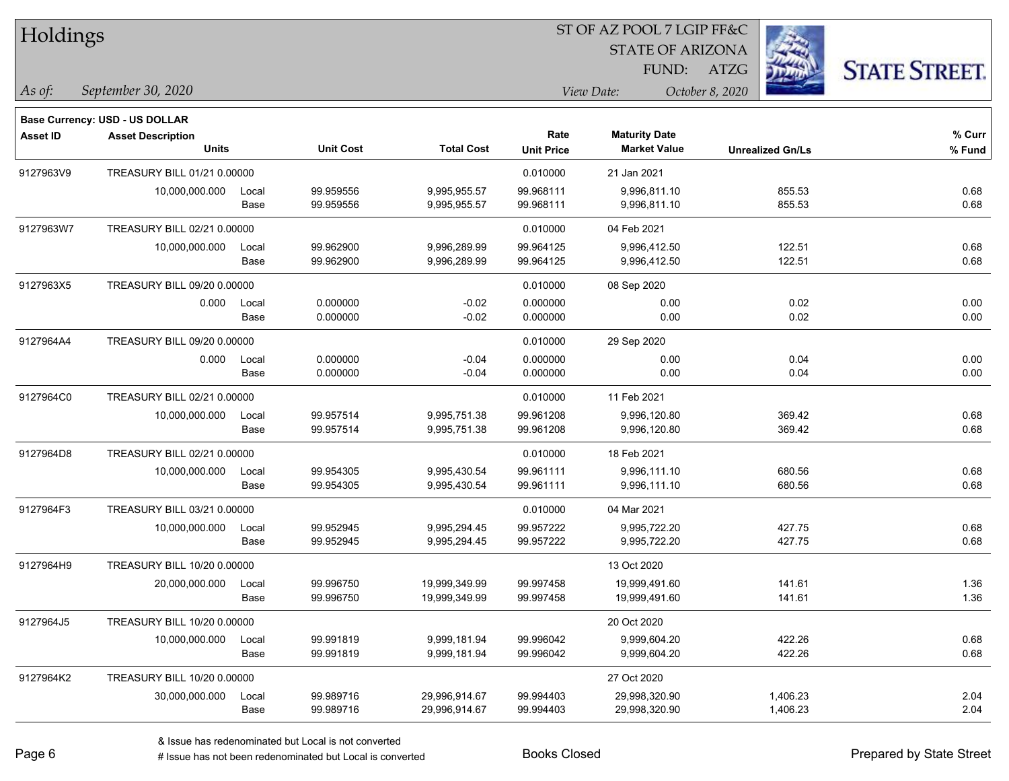| Holdings        |                                          |               |                        |                                |                           | <b>STATE OF ARIZONA</b>                     |                         |                      |
|-----------------|------------------------------------------|---------------|------------------------|--------------------------------|---------------------------|---------------------------------------------|-------------------------|----------------------|
|                 |                                          |               |                        |                                |                           | FUND:                                       | <b>ATZG</b>             | <b>STATE STREET.</b> |
| As of:          | September 30, 2020                       |               |                        |                                |                           | View Date:                                  | October 8, 2020         |                      |
|                 | Base Currency: USD - US DOLLAR           |               |                        |                                |                           |                                             |                         |                      |
| <b>Asset ID</b> | <b>Asset Description</b><br><b>Units</b> |               | <b>Unit Cost</b>       | <b>Total Cost</b>              | Rate<br><b>Unit Price</b> | <b>Maturity Date</b><br><b>Market Value</b> | <b>Unrealized Gn/Ls</b> | $%$ Curr<br>% Fund   |
| 9127963V9       | TREASURY BILL 01/21 0.00000              |               |                        |                                | 0.010000                  | 21 Jan 2021                                 |                         |                      |
|                 | 10,000,000.000                           | Local<br>Base | 99.959556<br>99.959556 | 9,995,955.57<br>9,995,955.57   | 99.968111<br>99.968111    | 9,996,811.10<br>9,996,811.10                | 855.53<br>855.53        | 0.68<br>0.68         |
| 9127963W7       | TREASURY BILL 02/21 0.00000              |               |                        |                                | 0.010000                  | 04 Feb 2021                                 |                         |                      |
|                 | 10,000,000.000                           | Local<br>Base | 99.962900<br>99.962900 | 9,996,289.99<br>9,996,289.99   | 99.964125<br>99.964125    | 9,996,412.50<br>9,996,412.50                | 122.51<br>122.51        | 0.68<br>0.68         |
| 9127963X5       | TREASURY BILL 09/20 0.00000              |               |                        |                                | 0.010000                  | 08 Sep 2020                                 |                         |                      |
|                 | 0.000                                    | Local<br>Base | 0.000000<br>0.000000   | $-0.02$<br>$-0.02$             | 0.000000<br>0.000000      | 0.00<br>0.00                                | 0.02<br>0.02            | 0.00<br>0.00         |
| 9127964A4       | TREASURY BILL 09/20 0.00000              |               |                        |                                | 0.010000                  | 29 Sep 2020                                 |                         |                      |
|                 | 0.000                                    | Local<br>Base | 0.000000<br>0.000000   | $-0.04$<br>$-0.04$             | 0.000000<br>0.000000      | 0.00<br>0.00                                | 0.04<br>0.04            | 0.00<br>0.00         |
| 9127964C0       | TREASURY BILL 02/21 0.00000              |               |                        |                                | 0.010000                  | 11 Feb 2021                                 |                         |                      |
|                 | 10,000,000.000                           | Local<br>Base | 99.957514<br>99.957514 | 9,995,751.38<br>9,995,751.38   | 99.961208<br>99.961208    | 9,996,120.80<br>9,996,120.80                | 369.42<br>369.42        | 0.68<br>0.68         |
| 9127964D8       | TREASURY BILL 02/21 0.00000              |               |                        |                                | 0.010000                  | 18 Feb 2021                                 |                         |                      |
|                 | 10,000,000.000                           | Local<br>Base | 99.954305<br>99.954305 | 9,995,430.54<br>9,995,430.54   | 99.961111<br>99.961111    | 9,996,111.10<br>9,996,111.10                | 680.56<br>680.56        | 0.68<br>0.68         |
| 9127964F3       | TREASURY BILL 03/21 0.00000              |               |                        |                                | 0.010000                  | 04 Mar 2021                                 |                         |                      |
|                 | 10,000,000.000                           | Local<br>Base | 99.952945<br>99.952945 | 9,995,294.45<br>9,995,294.45   | 99.957222<br>99.957222    | 9,995,722.20<br>9,995,722.20                | 427.75<br>427.75        | 0.68<br>0.68         |
| 9127964H9       | TREASURY BILL 10/20 0.00000              |               |                        |                                |                           | 13 Oct 2020                                 |                         |                      |
|                 | 20,000,000.000                           | Local<br>Base | 99.996750<br>99.996750 | 19,999,349.99<br>19,999,349.99 | 99.997458<br>99.997458    | 19,999,491.60<br>19,999,491.60              | 141.61<br>141.61        | 1.36<br>1.36         |
| 9127964J5       | TREASURY BILL 10/20 0.00000              |               |                        |                                |                           | 20 Oct 2020                                 |                         |                      |
|                 | 10,000,000.000                           | Local<br>Base | 99.991819<br>99.991819 | 9,999,181.94<br>9,999,181.94   | 99.996042<br>99.996042    | 9,999,604.20<br>9,999,604.20                | 422.26<br>422.26        | 0.68<br>0.68         |
| 9127964K2       | TREASURY BILL 10/20 0.00000              |               |                        |                                |                           | 27 Oct 2020                                 |                         |                      |
|                 | 30,000,000.000                           | Local<br>Base | 99.989716<br>99.989716 | 29,996,914.67<br>29,996,914.67 | 99.994403<br>99.994403    | 29,998,320.90<br>29,998,320.90              | 1,406.23<br>1,406.23    | 2.04<br>2.04         |

 $TT = 1.11$ 

ST OF AZ POOL 7 LGIP FF&C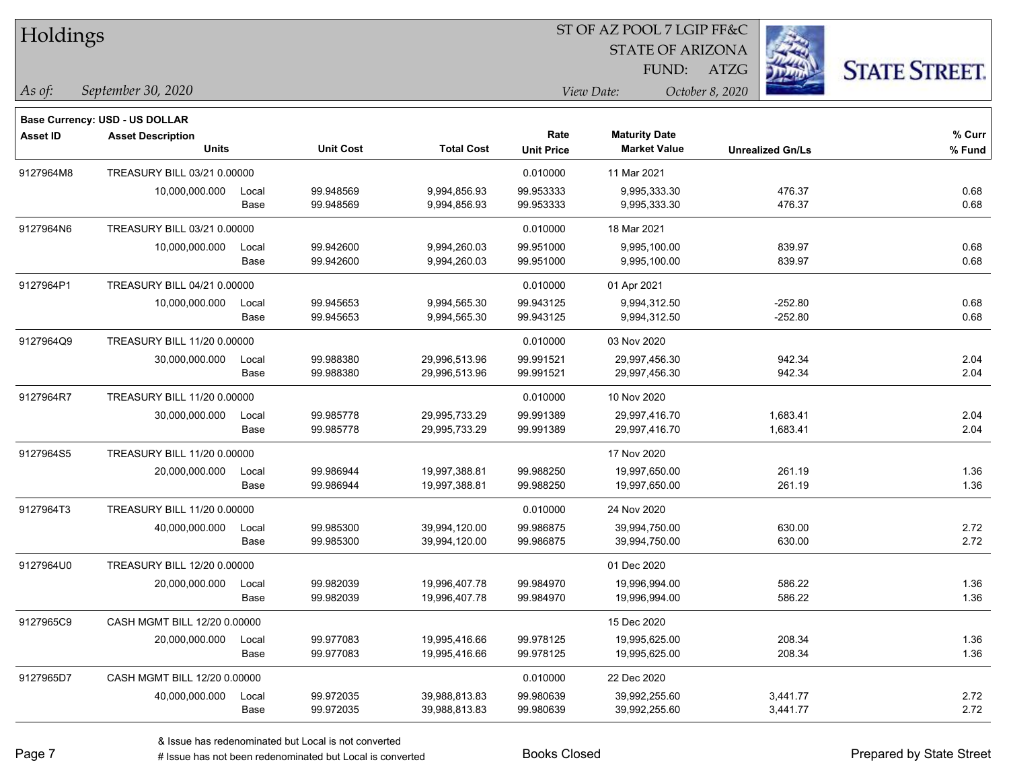| Holdings        |                                                                   |       |                  |                   |                   | ST OF AZ POOL 7 LGIP FF&C |                         |                      |
|-----------------|-------------------------------------------------------------------|-------|------------------|-------------------|-------------------|---------------------------|-------------------------|----------------------|
|                 |                                                                   |       |                  |                   |                   | <b>STATE OF ARIZONA</b>   |                         |                      |
|                 |                                                                   |       |                  |                   |                   | FUND:                     | <b>ATZG</b>             | <b>STATE STREET.</b> |
| As of:          | September 30, 2020                                                |       |                  |                   |                   | View Date:                | October 8, 2020         |                      |
|                 |                                                                   |       |                  |                   |                   |                           |                         |                      |
| <b>Asset ID</b> | <b>Base Currency: USD - US DOLLAR</b><br><b>Asset Description</b> |       |                  |                   | Rate              | <b>Maturity Date</b>      |                         | $%$ Curr             |
|                 | <b>Units</b>                                                      |       | <b>Unit Cost</b> | <b>Total Cost</b> | <b>Unit Price</b> | <b>Market Value</b>       | <b>Unrealized Gn/Ls</b> | % Fund               |
| 9127964M8       | TREASURY BILL 03/21 0.00000                                       |       |                  |                   | 0.010000          | 11 Mar 2021               |                         |                      |
|                 | 10,000,000.000                                                    | Local | 99.948569        | 9,994,856.93      | 99.953333         | 9.995.333.30              | 476.37                  | 0.68                 |
|                 |                                                                   | Base  | 99.948569        | 9,994,856.93      | 99.953333         | 9,995,333.30              | 476.37                  | 0.68                 |
| 9127964N6       | TREASURY BILL 03/21 0.00000                                       |       |                  |                   | 0.010000          | 18 Mar 2021               |                         |                      |
|                 | 10,000,000.000                                                    | Local | 99.942600        | 9,994,260.03      | 99.951000         | 9,995,100.00              | 839.97                  | 0.68                 |
|                 |                                                                   | Base  | 99.942600        | 9,994,260.03      | 99.951000         | 9,995,100.00              | 839.97                  | 0.68                 |
| 9127964P1       | TREASURY BILL 04/21 0.00000                                       |       |                  |                   | 0.010000          | 01 Apr 2021               |                         |                      |
|                 | 10,000,000.000                                                    | Local | 99.945653        | 9,994,565.30      | 99.943125         | 9,994,312.50              | $-252.80$               | 0.68                 |
|                 |                                                                   | Base  | 99.945653        | 9,994,565.30      | 99.943125         | 9,994,312.50              | $-252.80$               | 0.68                 |
| 9127964Q9       | TREASURY BILL 11/20 0.00000                                       |       |                  |                   | 0.010000          | 03 Nov 2020               |                         |                      |
|                 | 30,000,000.000                                                    | Local | 99.988380        | 29,996,513.96     | 99.991521         | 29,997,456.30             | 942.34                  | 2.04                 |
|                 |                                                                   | Base  | 99.988380        | 29,996,513.96     | 99.991521         | 29,997,456.30             | 942.34                  | 2.04                 |
| 9127964R7       | TREASURY BILL 11/20 0.00000                                       |       |                  |                   | 0.010000          | 10 Nov 2020               |                         |                      |
|                 | 30,000,000.000                                                    | Local | 99.985778        | 29,995,733.29     | 99.991389         | 29,997,416.70             | 1,683.41                | 2.04                 |
|                 |                                                                   | Base  | 99.985778        | 29,995,733.29     | 99.991389         | 29,997,416.70             | 1,683.41                | 2.04                 |
| 9127964S5       | TREASURY BILL 11/20 0.00000                                       |       |                  |                   |                   | 17 Nov 2020               |                         |                      |
|                 | 20,000,000.000                                                    | Local | 99.986944        | 19,997,388.81     | 99.988250         | 19,997,650.00             | 261.19                  | 1.36                 |
|                 |                                                                   | Base  | 99.986944        | 19,997,388.81     | 99.988250         | 19,997,650.00             | 261.19                  | 1.36                 |
| 9127964T3       | TREASURY BILL 11/20 0.00000                                       |       |                  |                   | 0.010000          | 24 Nov 2020               |                         |                      |
|                 | 40,000,000.000                                                    | Local | 99.985300        | 39,994,120.00     | 99.986875         | 39,994,750.00             | 630.00                  | 2.72                 |
|                 |                                                                   | Base  | 99.985300        | 39,994,120.00     | 99.986875         | 39,994,750.00             | 630.00                  | 2.72                 |
| 9127964U0       | TREASURY BILL 12/20 0.00000                                       |       |                  |                   |                   | 01 Dec 2020               |                         |                      |
|                 | 20,000,000.000                                                    | Local | 99.982039        | 19,996,407.78     | 99.984970         | 19,996,994.00             | 586.22                  | 1.36                 |
|                 |                                                                   | Base  | 99.982039        | 19,996,407.78     | 99.984970         | 19,996,994.00             | 586.22                  | 1.36                 |
| 9127965C9       | CASH MGMT BILL 12/20 0.00000                                      |       |                  |                   |                   | 15 Dec 2020               |                         |                      |
|                 | 20,000,000.000                                                    | Local | 99.977083        | 19,995,416.66     | 99.978125         | 19,995,625.00             | 208.34                  | 1.36                 |
|                 |                                                                   | Base  | 99.977083        | 19,995,416.66     | 99.978125         | 19,995,625.00             | 208.34                  | 1.36                 |
| 9127965D7       | CASH MGMT BILL 12/20 0.00000                                      |       |                  |                   | 0.010000          | 22 Dec 2020               |                         |                      |
|                 | 40,000,000.000                                                    | Local | 99.972035        | 39,988,813.83     | 99.980639         | 39,992,255.60             | 3,441.77                | 2.72                 |
|                 |                                                                   | Base  | 99.972035        | 39,988,813.83     | 99.980639         | 39,992,255.60             | 3,441.77                | 2.72                 |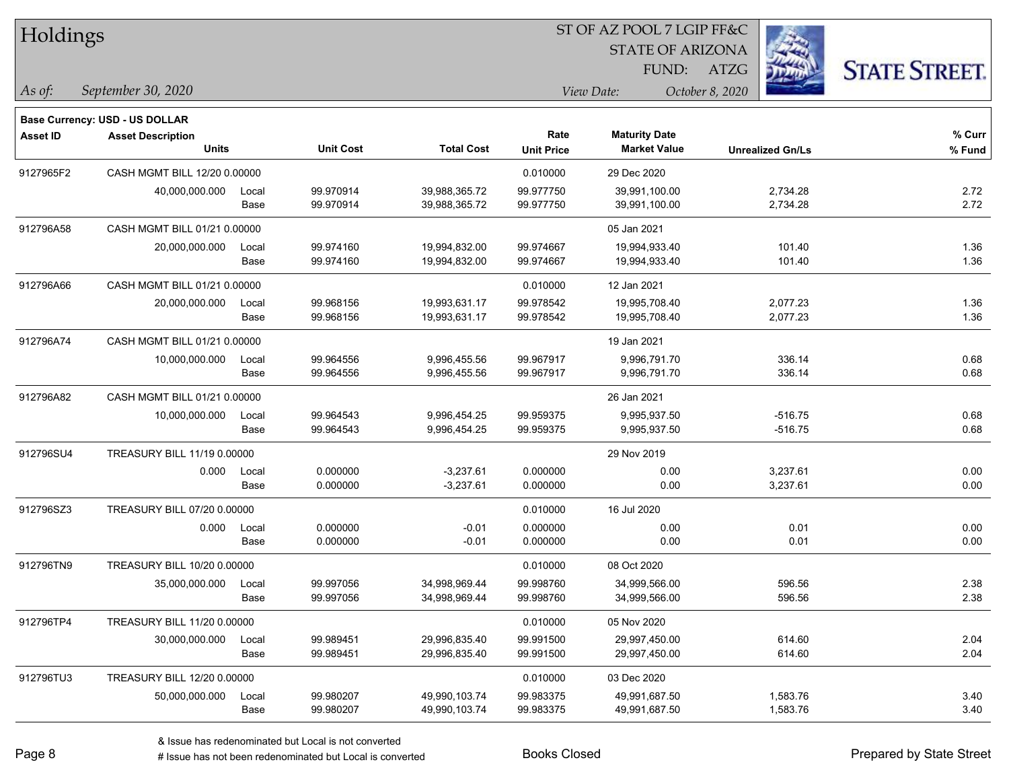| Holdings        |                                          |               |                        |                                | 51 OF AZ POOL 7 LGIP FF&C |                                             |                         |                      |  |  |
|-----------------|------------------------------------------|---------------|------------------------|--------------------------------|---------------------------|---------------------------------------------|-------------------------|----------------------|--|--|
|                 |                                          |               |                        |                                |                           | <b>STATE OF ARIZONA</b>                     | Ź.                      |                      |  |  |
|                 |                                          |               |                        |                                |                           | FUND:                                       | ATZG                    | <b>STATE STREET.</b> |  |  |
| As of:          | September 30, 2020                       |               |                        |                                |                           | View Date:                                  | October 8, 2020         |                      |  |  |
|                 | Base Currency: USD - US DOLLAR           |               |                        |                                |                           |                                             |                         |                      |  |  |
| <b>Asset ID</b> | <b>Asset Description</b><br><b>Units</b> |               | <b>Unit Cost</b>       | <b>Total Cost</b>              | Rate<br><b>Unit Price</b> | <b>Maturity Date</b><br><b>Market Value</b> | <b>Unrealized Gn/Ls</b> | $%$ Curr<br>% Fund   |  |  |
| 9127965F2       | CASH MGMT BILL 12/20 0.00000             |               |                        |                                | 0.010000                  | 29 Dec 2020                                 |                         |                      |  |  |
|                 | 40,000,000.000                           | Local<br>Base | 99.970914<br>99.970914 | 39,988,365.72<br>39,988,365.72 | 99.977750<br>99.977750    | 39,991,100.00<br>39,991,100.00              | 2,734.28<br>2,734.28    | 2.72<br>2.72         |  |  |
| 912796A58       | CASH MGMT BILL 01/21 0.00000             |               |                        |                                |                           | 05 Jan 2021                                 |                         |                      |  |  |
|                 | 20,000,000.000                           | Local<br>Base | 99.974160<br>99.974160 | 19,994,832.00<br>19,994,832.00 | 99.974667<br>99.974667    | 19,994,933.40<br>19,994,933.40              | 101.40<br>101.40        | 1.36<br>1.36         |  |  |
| 912796A66       | CASH MGMT BILL 01/21 0.00000             |               |                        |                                | 0.010000                  | 12 Jan 2021                                 |                         |                      |  |  |
|                 | 20,000,000.000                           | Local<br>Base | 99.968156<br>99.968156 | 19,993,631.17<br>19,993,631.17 | 99.978542<br>99.978542    | 19,995,708.40<br>19,995,708.40              | 2,077.23<br>2,077.23    | 1.36<br>1.36         |  |  |
| 912796A74       | CASH MGMT BILL 01/21 0.00000             |               |                        |                                |                           | 19 Jan 2021                                 |                         |                      |  |  |
|                 | 10,000,000.000                           | Local<br>Base | 99.964556<br>99.964556 | 9,996,455.56<br>9,996,455.56   | 99.967917<br>99.967917    | 9,996,791.70<br>9,996,791.70                | 336.14<br>336.14        | 0.68<br>0.68         |  |  |
| 912796A82       | CASH MGMT BILL 01/21 0.00000             |               |                        |                                |                           | 26 Jan 2021                                 |                         |                      |  |  |
|                 | 10,000,000.000                           | Local<br>Base | 99.964543<br>99.964543 | 9,996,454.25<br>9,996,454.25   | 99.959375<br>99.959375    | 9,995,937.50<br>9,995,937.50                | $-516.75$<br>$-516.75$  | 0.68<br>0.68         |  |  |
| 912796SU4       | TREASURY BILL 11/19 0.00000              |               |                        |                                |                           | 29 Nov 2019                                 |                         |                      |  |  |
|                 | 0.000                                    | Local<br>Base | 0.000000<br>0.000000   | $-3,237.61$<br>$-3,237.61$     | 0.000000<br>0.000000      | 0.00<br>0.00                                | 3,237.61<br>3,237.61    | 0.00<br>0.00         |  |  |
| 912796SZ3       | TREASURY BILL 07/20 0.00000              |               |                        |                                | 0.010000                  | 16 Jul 2020                                 |                         |                      |  |  |
|                 | 0.000                                    | Local<br>Base | 0.000000<br>0.000000   | $-0.01$<br>$-0.01$             | 0.000000<br>0.000000      | 0.00<br>0.00                                | 0.01<br>0.01            | 0.00<br>0.00         |  |  |
| 912796TN9       | TREASURY BILL 10/20 0.00000              |               |                        |                                | 0.010000                  | 08 Oct 2020                                 |                         |                      |  |  |
|                 | 35,000,000.000                           | Local<br>Base | 99.997056<br>99.997056 | 34,998,969.44<br>34,998,969.44 | 99.998760<br>99.998760    | 34,999,566.00<br>34,999,566.00              | 596.56<br>596.56        | 2.38<br>2.38         |  |  |
| 912796TP4       | TREASURY BILL 11/20 0.00000              |               |                        |                                | 0.010000                  | 05 Nov 2020                                 |                         |                      |  |  |
|                 | 30,000,000.000                           | Local<br>Base | 99.989451<br>99.989451 | 29,996,835.40<br>29,996,835.40 | 99.991500<br>99.991500    | 29,997,450.00<br>29,997,450.00              | 614.60<br>614.60        | 2.04<br>2.04         |  |  |
| 912796TU3       | TREASURY BILL 12/20 0.00000              |               |                        |                                | 0.010000                  | 03 Dec 2020                                 |                         |                      |  |  |
|                 | 50,000,000.000                           | Local<br>Base | 99.980207<br>99.980207 | 49,990,103.74<br>49,990,103.74 | 99.983375<br>99.983375    | 49,991,687.50<br>49,991,687.50              | 1,583.76<br>1,583.76    | 3.40<br>3.40         |  |  |

 $ST$  OF A Z POOL 7 LCIP FF&C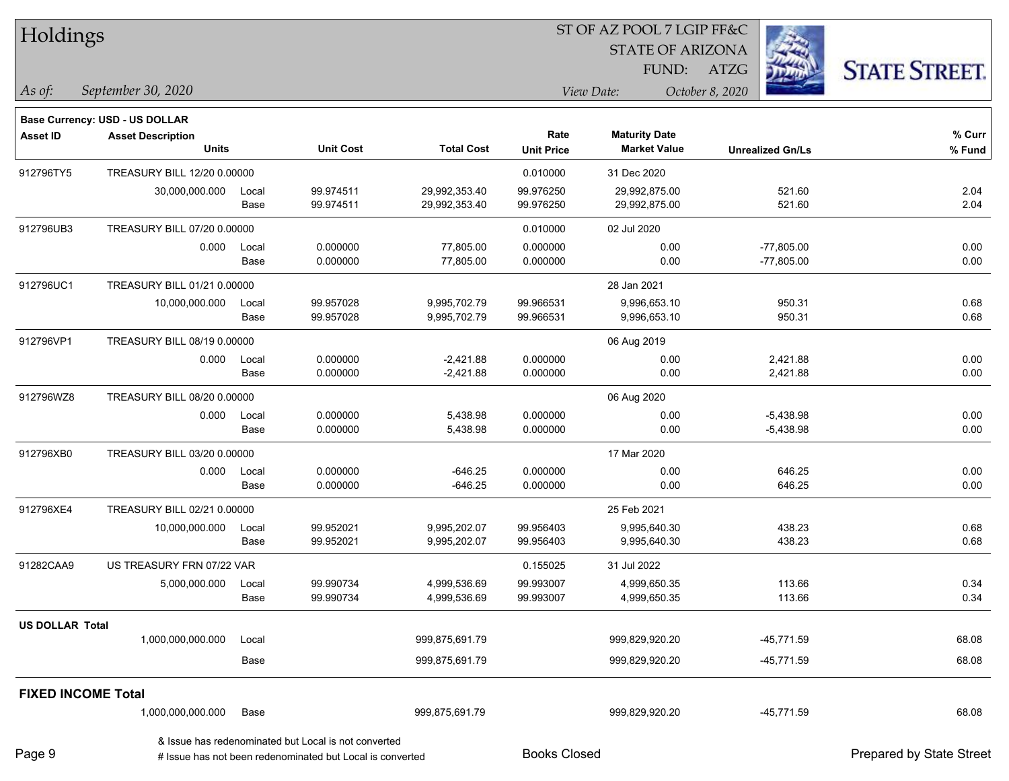| Holdings                                                                                                                                                                                                                                                                                                                                                                                                                                                                                                                                                                                                                                                                                                                                                                       |                                       |                             |                                                           |                   |                     | ST OF AZ POOL 7 LGIP FF&C                   |                         |                          |
|--------------------------------------------------------------------------------------------------------------------------------------------------------------------------------------------------------------------------------------------------------------------------------------------------------------------------------------------------------------------------------------------------------------------------------------------------------------------------------------------------------------------------------------------------------------------------------------------------------------------------------------------------------------------------------------------------------------------------------------------------------------------------------|---------------------------------------|-----------------------------|-----------------------------------------------------------|-------------------|---------------------|---------------------------------------------|-------------------------|--------------------------|
|                                                                                                                                                                                                                                                                                                                                                                                                                                                                                                                                                                                                                                                                                                                                                                                |                                       |                             |                                                           |                   |                     | <b>STATE OF ARIZONA</b>                     |                         |                          |
|                                                                                                                                                                                                                                                                                                                                                                                                                                                                                                                                                                                                                                                                                                                                                                                |                                       |                             |                                                           |                   |                     | FUND: ATZG                                  |                         | <b>STATE STREET.</b>     |
| As of:                                                                                                                                                                                                                                                                                                                                                                                                                                                                                                                                                                                                                                                                                                                                                                         | September 30, 2020                    |                             |                                                           |                   |                     | View Date:                                  | October 8, 2020         |                          |
|                                                                                                                                                                                                                                                                                                                                                                                                                                                                                                                                                                                                                                                                                                                                                                                |                                       |                             |                                                           |                   |                     |                                             |                         |                          |
|                                                                                                                                                                                                                                                                                                                                                                                                                                                                                                                                                                                                                                                                                                                                                                                | <b>Base Currency: USD - US DOLLAR</b> |                             |                                                           |                   |                     |                                             |                         | % Curr                   |
|                                                                                                                                                                                                                                                                                                                                                                                                                                                                                                                                                                                                                                                                                                                                                                                |                                       |                             | <b>Unit Cost</b>                                          | <b>Total Cost</b> | <b>Unit Price</b>   | <b>Maturity Date</b><br><b>Market Value</b> | <b>Unrealized Gn/Ls</b> | % Fund                   |
| 912796TY5                                                                                                                                                                                                                                                                                                                                                                                                                                                                                                                                                                                                                                                                                                                                                                      |                                       |                             |                                                           |                   | 0.010000            | 31 Dec 2020                                 |                         |                          |
|                                                                                                                                                                                                                                                                                                                                                                                                                                                                                                                                                                                                                                                                                                                                                                                | 30,000,000.000                        | Local                       | 99.974511                                                 | 29,992,353.40     | 99.976250           | 29,992,875.00                               | 521.60                  | 2.04                     |
|                                                                                                                                                                                                                                                                                                                                                                                                                                                                                                                                                                                                                                                                                                                                                                                |                                       | Base                        | 99.974511                                                 | 29,992,353.40     | 99.976250           | 29,992,875.00                               | 521.60                  | 2.04                     |
| 912796UB3                                                                                                                                                                                                                                                                                                                                                                                                                                                                                                                                                                                                                                                                                                                                                                      |                                       |                             |                                                           |                   | 0.010000            | 02 Jul 2020                                 |                         |                          |
|                                                                                                                                                                                                                                                                                                                                                                                                                                                                                                                                                                                                                                                                                                                                                                                | 0.000                                 | Local                       | 0.000000                                                  | 77,805.00         | 0.000000            | 0.00                                        | $-77,805.00$            | 0.00                     |
|                                                                                                                                                                                                                                                                                                                                                                                                                                                                                                                                                                                                                                                                                                                                                                                |                                       | Base                        | 0.000000                                                  | 77,805.00         | 0.000000            | 0.00                                        | $-77,805.00$            | 0.00                     |
| 912796UC1                                                                                                                                                                                                                                                                                                                                                                                                                                                                                                                                                                                                                                                                                                                                                                      |                                       |                             |                                                           |                   |                     | 28 Jan 2021                                 |                         |                          |
|                                                                                                                                                                                                                                                                                                                                                                                                                                                                                                                                                                                                                                                                                                                                                                                | 10,000,000.000                        | Local                       | 99.957028                                                 | 9,995,702.79      | 99.966531           | 9,996,653.10                                | 950.31                  | 0.68                     |
|                                                                                                                                                                                                                                                                                                                                                                                                                                                                                                                                                                                                                                                                                                                                                                                |                                       | Base                        | 99.957028                                                 | 9,995,702.79      | 99.966531           | 9,996,653.10                                | 950.31                  | 0.68                     |
| 912796VP1                                                                                                                                                                                                                                                                                                                                                                                                                                                                                                                                                                                                                                                                                                                                                                      |                                       |                             |                                                           |                   |                     | 06 Aug 2019                                 |                         |                          |
|                                                                                                                                                                                                                                                                                                                                                                                                                                                                                                                                                                                                                                                                                                                                                                                | 0.000                                 | Local                       | 0.000000                                                  | $-2,421.88$       | 0.000000            | 0.00                                        | 2,421.88                | 0.00                     |
|                                                                                                                                                                                                                                                                                                                                                                                                                                                                                                                                                                                                                                                                                                                                                                                |                                       | Base                        |                                                           |                   | 0.000000            | 0.00                                        | 2,421.88                | 0.00                     |
| 912796WZ8                                                                                                                                                                                                                                                                                                                                                                                                                                                                                                                                                                                                                                                                                                                                                                      |                                       |                             |                                                           |                   |                     | 06 Aug 2020                                 |                         |                          |
|                                                                                                                                                                                                                                                                                                                                                                                                                                                                                                                                                                                                                                                                                                                                                                                | 0.000                                 | Local                       | 0.000000                                                  | 5,438.98          | 0.000000            | 0.00                                        | $-5,438.98$             | 0.00                     |
|                                                                                                                                                                                                                                                                                                                                                                                                                                                                                                                                                                                                                                                                                                                                                                                |                                       | Base                        |                                                           |                   |                     | 0.00                                        | $-5,438.98$             | 0.00                     |
| 912796XB0                                                                                                                                                                                                                                                                                                                                                                                                                                                                                                                                                                                                                                                                                                                                                                      |                                       | TREASURY BILL 03/20 0.00000 |                                                           |                   |                     | 17 Mar 2020                                 |                         |                          |
|                                                                                                                                                                                                                                                                                                                                                                                                                                                                                                                                                                                                                                                                                                                                                                                | 0.000                                 | Local                       | 0.000000                                                  | $-646.25$         | 0.000000            | 0.00                                        | 646.25                  | 0.00                     |
|                                                                                                                                                                                                                                                                                                                                                                                                                                                                                                                                                                                                                                                                                                                                                                                |                                       | Base                        |                                                           |                   |                     | 0.00                                        | 646.25                  | 0.00                     |
| Rate<br>Asset ID<br><b>Asset Description</b><br><b>Units</b><br>TREASURY BILL 12/20 0.00000<br>TREASURY BILL 07/20 0.00000<br>TREASURY BILL 01/21 0.00000<br>TREASURY BILL 08/19 0.00000<br>0.000000<br>$-2,421.88$<br>TREASURY BILL 08/20 0.00000<br>0.000000<br>5,438.98<br>0.000000<br>0.000000<br>$-646.25$<br>0.000000<br>912796XE4<br>TREASURY BILL 02/21 0.00000<br>99.952021<br>10,000,000.000<br>9,995,202.07<br>99.956403<br>Local<br>99.952021<br>9,995,202.07<br>99.956403<br>Base<br>91282CAA9<br>US TREASURY FRN 07/22 VAR<br>0.155025<br>5,000,000.000<br>99.990734<br>4,999,536.69<br>99.993007<br>Local<br>99.990734<br>4,999,536.69<br>99.993007<br>Base<br><b>US DOLLAR Total</b><br>1,000,000,000.000<br>999,875,691.79<br>Local<br>Base<br>999,875,691.79 | 25 Feb 2021                           |                             |                                                           |                   |                     |                                             |                         |                          |
|                                                                                                                                                                                                                                                                                                                                                                                                                                                                                                                                                                                                                                                                                                                                                                                |                                       |                             |                                                           |                   |                     | 9,995,640.30                                | 438.23                  | 0.68                     |
|                                                                                                                                                                                                                                                                                                                                                                                                                                                                                                                                                                                                                                                                                                                                                                                |                                       |                             |                                                           |                   |                     | 9,995,640.30                                | 438.23                  | 0.68                     |
|                                                                                                                                                                                                                                                                                                                                                                                                                                                                                                                                                                                                                                                                                                                                                                                |                                       |                             |                                                           |                   |                     | 31 Jul 2022                                 |                         |                          |
|                                                                                                                                                                                                                                                                                                                                                                                                                                                                                                                                                                                                                                                                                                                                                                                |                                       |                             |                                                           |                   |                     | 4,999,650.35                                | 113.66                  | 0.34                     |
|                                                                                                                                                                                                                                                                                                                                                                                                                                                                                                                                                                                                                                                                                                                                                                                |                                       |                             |                                                           |                   |                     | 4,999,650.35                                | 113.66                  | 0.34                     |
|                                                                                                                                                                                                                                                                                                                                                                                                                                                                                                                                                                                                                                                                                                                                                                                |                                       |                             |                                                           |                   |                     |                                             |                         |                          |
|                                                                                                                                                                                                                                                                                                                                                                                                                                                                                                                                                                                                                                                                                                                                                                                |                                       |                             |                                                           |                   |                     | 999,829,920.20                              | $-45,771.59$            | 68.08                    |
|                                                                                                                                                                                                                                                                                                                                                                                                                                                                                                                                                                                                                                                                                                                                                                                |                                       |                             |                                                           |                   |                     | 999,829,920.20                              | -45,771.59              | 68.08                    |
| <b>FIXED INCOME Total</b>                                                                                                                                                                                                                                                                                                                                                                                                                                                                                                                                                                                                                                                                                                                                                      |                                       |                             |                                                           |                   |                     |                                             |                         |                          |
|                                                                                                                                                                                                                                                                                                                                                                                                                                                                                                                                                                                                                                                                                                                                                                                | 1,000,000,000.000                     | Base                        |                                                           | 999,875,691.79    |                     | 999,829,920.20                              | $-45,771.59$            | 68.08                    |
|                                                                                                                                                                                                                                                                                                                                                                                                                                                                                                                                                                                                                                                                                                                                                                                |                                       |                             | & Issue has redenominated but Local is not converted      |                   |                     |                                             |                         |                          |
| Page 9                                                                                                                                                                                                                                                                                                                                                                                                                                                                                                                                                                                                                                                                                                                                                                         |                                       |                             | # Issue has not been redenominated but Local is converted |                   | <b>Books Closed</b> |                                             |                         | Prepared by State Street |

٦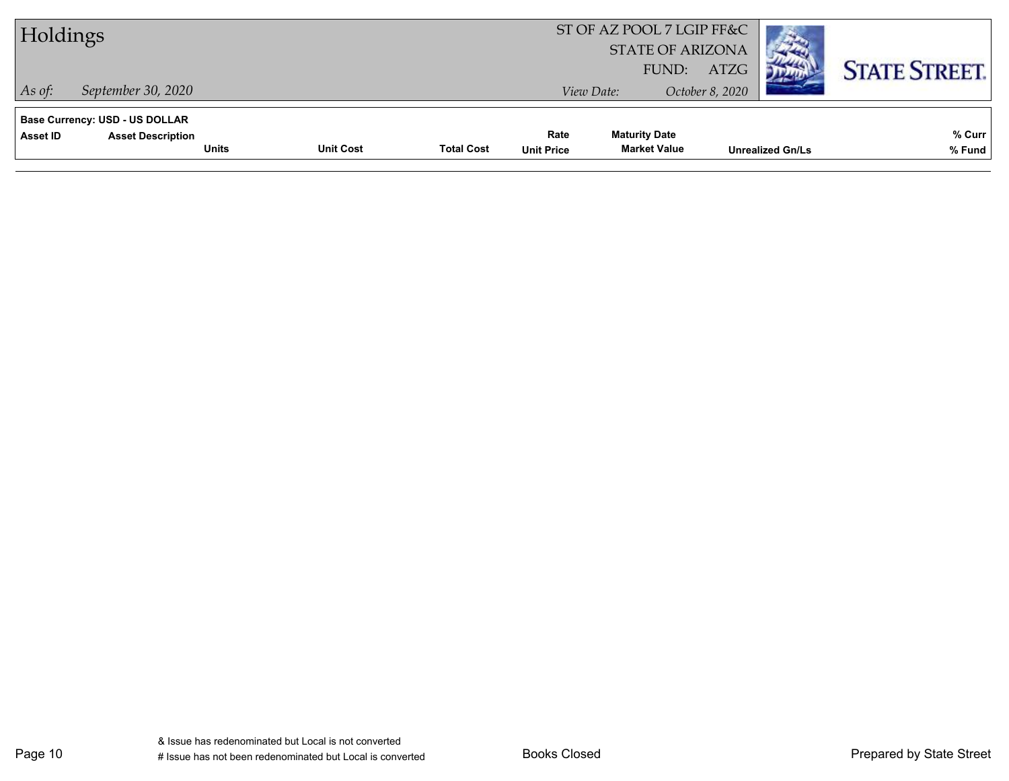| Holdings                                   |                                          |                  |                   |                           | ST OF AZ POOL 7 LGIP FF&C<br><b>STATE OF ARIZONA</b><br>FUND: | ATZG            |                         | <b>STATE STREET.</b> |
|--------------------------------------------|------------------------------------------|------------------|-------------------|---------------------------|---------------------------------------------------------------|-----------------|-------------------------|----------------------|
| September 30, 2020<br>$As$ of:             |                                          |                  |                   |                           | View Date:                                                    | October 8, 2020 |                         |                      |
| Base Currency: USD - US DOLLAR<br>Asset ID | <b>Asset Description</b><br><b>Units</b> | <b>Unit Cost</b> | <b>Total Cost</b> | Rate<br><b>Unit Price</b> | <b>Maturity Date</b><br><b>Market Value</b>                   |                 | <b>Unrealized Gn/Ls</b> | % Curr<br>% Fund     |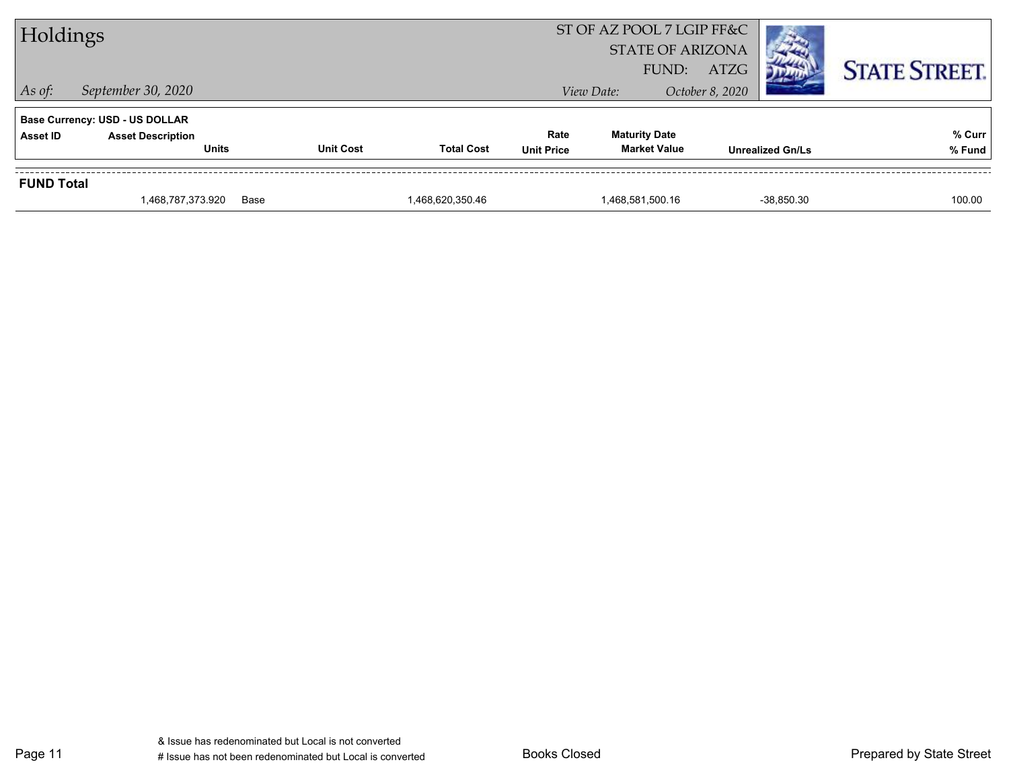|                                                                                               | 1,468,787,373.920                                   | Base             | 1,468,620,350.46  |  | 1,468,581,500.16                                              | $-38.850.30$            | 100.00               |  |  |  |
|-----------------------------------------------------------------------------------------------|-----------------------------------------------------|------------------|-------------------|--|---------------------------------------------------------------|-------------------------|----------------------|--|--|--|
| <b>FUND Total</b>                                                                             |                                                     |                  |                   |  |                                                               |                         |                      |  |  |  |
| <b>Base Currency: USD - US DOLLAR</b><br><b>Asset Description</b><br><b>Asset ID</b><br>Units |                                                     | <b>Unit Cost</b> | <b>Total Cost</b> |  | <b>Maturity Date</b><br><b>Market Value</b>                   | <b>Unrealized Gn/Ls</b> | % Curr<br>% Fund     |  |  |  |
| $\vert$ As of:                                                                                | September 30, 2020<br>October 8, 2020<br>View Date: |                  |                   |  |                                                               |                         |                      |  |  |  |
| Holdings                                                                                      |                                                     |                  |                   |  | ST OF AZ POOL 7 LGIP FF&C<br><b>STATE OF ARIZONA</b><br>FUND: | ATZG                    | <b>STATE STREET.</b> |  |  |  |
|                                                                                               |                                                     |                  |                   |  |                                                               |                         |                      |  |  |  |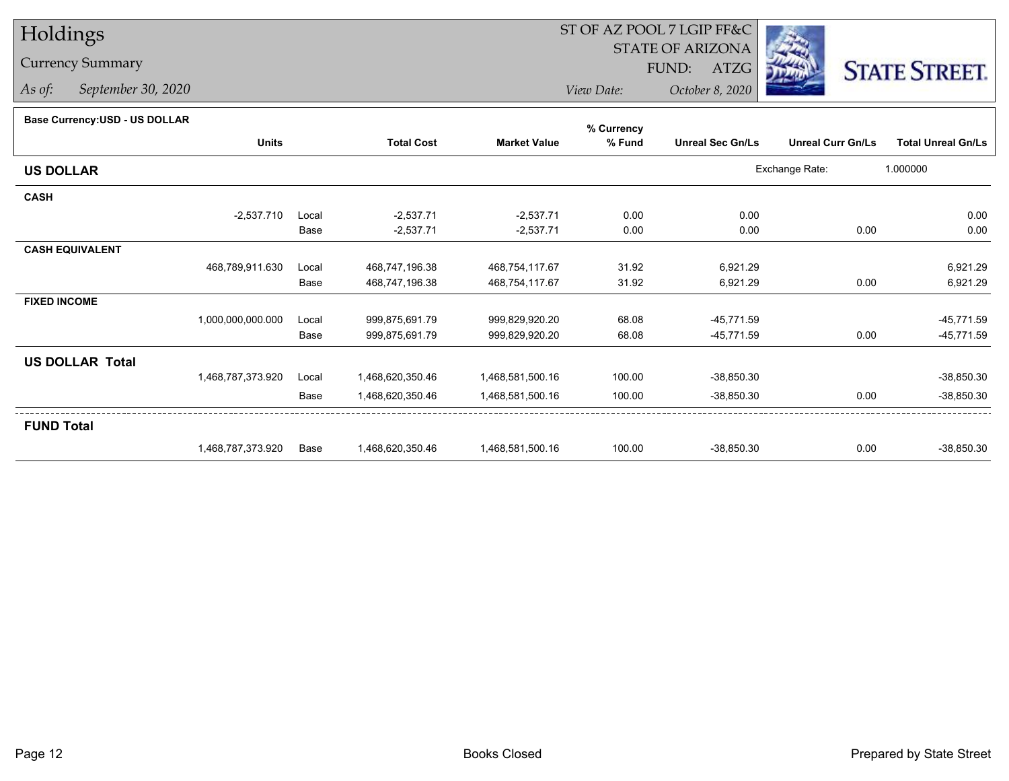## Holdings

## Currency Summary

*As of: September 30, 2020*

## ST OF AZ POOL 7 LGIP FF&C

STATE OF ARIZONA

FUND: ATZG



*View Date:October 8, 2020*

## **Base Currency:USD - US DOLLAR**

|                        |                   |       |                   |                     | % Currency |                         |                          |                           |
|------------------------|-------------------|-------|-------------------|---------------------|------------|-------------------------|--------------------------|---------------------------|
|                        | <b>Units</b>      |       | <b>Total Cost</b> | <b>Market Value</b> | % Fund     | <b>Unreal Sec Gn/Ls</b> | <b>Unreal Curr Gn/Ls</b> | <b>Total Unreal Gn/Ls</b> |
| <b>US DOLLAR</b>       |                   |       |                   |                     |            |                         | Exchange Rate:           | 1.000000                  |
| <b>CASH</b>            |                   |       |                   |                     |            |                         |                          |                           |
|                        | $-2,537.710$      | Local | $-2,537.71$       | $-2,537.71$         | 0.00       | 0.00                    |                          | 0.00                      |
|                        |                   | Base  | $-2,537.71$       | $-2,537.71$         | 0.00       | 0.00                    | 0.00                     | 0.00                      |
| <b>CASH EQUIVALENT</b> |                   |       |                   |                     |            |                         |                          |                           |
|                        | 468,789,911.630   | Local | 468,747,196.38    | 468,754,117.67      | 31.92      | 6,921.29                |                          | 6,921.29                  |
|                        |                   | Base  | 468,747,196.38    | 468,754,117.67      | 31.92      | 6,921.29                | 0.00                     | 6,921.29                  |
| <b>FIXED INCOME</b>    |                   |       |                   |                     |            |                         |                          |                           |
|                        | 1,000,000,000.000 | Local | 999,875,691.79    | 999,829,920.20      | 68.08      | $-45,771.59$            |                          | $-45,771.59$              |
|                        |                   | Base  | 999,875,691.79    | 999,829,920.20      | 68.08      | $-45,771.59$            | 0.00                     | $-45,771.59$              |
| <b>US DOLLAR Total</b> |                   |       |                   |                     |            |                         |                          |                           |
|                        | 1,468,787,373.920 | Local | 1,468,620,350.46  | 1,468,581,500.16    | 100.00     | $-38,850.30$            |                          | $-38,850.30$              |
|                        |                   | Base  | 1,468,620,350.46  | 1,468,581,500.16    | 100.00     | $-38,850.30$            | 0.00                     | $-38,850.30$              |
| <b>FUND Total</b>      |                   |       |                   |                     |            |                         |                          |                           |
|                        | 1,468,787,373.920 | Base  | 1,468,620,350.46  | 1,468,581,500.16    | 100.00     | $-38,850.30$            | 0.00                     | $-38,850.30$              |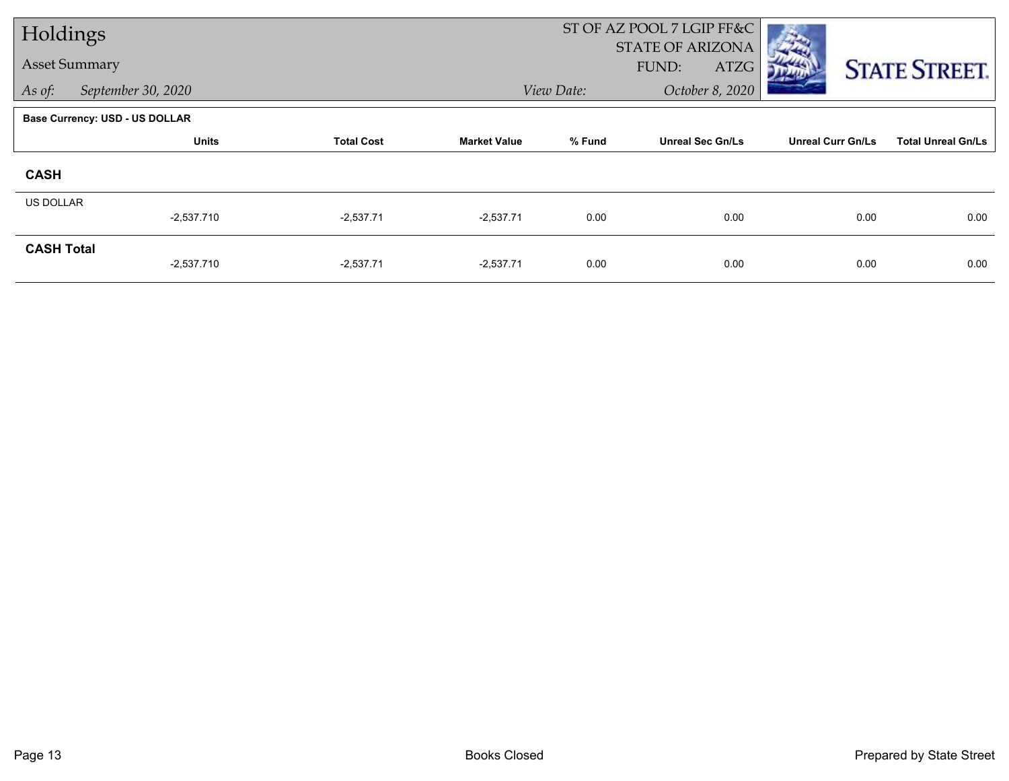| Holdings                     |                                |                   |                     |            | ST OF AZ POOL 7 LGIP FF&C |                          |                           |
|------------------------------|--------------------------------|-------------------|---------------------|------------|---------------------------|--------------------------|---------------------------|
|                              |                                |                   |                     |            | <b>STATE OF ARIZONA</b>   |                          |                           |
| <b>Asset Summary</b>         |                                |                   |                     |            | FUND:<br>ATZG             |                          | <b>STATE STREET.</b>      |
| September 30, 2020<br>As of: |                                |                   |                     | View Date: | October 8, 2020           |                          |                           |
|                              | Base Currency: USD - US DOLLAR |                   |                     |            |                           |                          |                           |
|                              | <b>Units</b>                   | <b>Total Cost</b> | <b>Market Value</b> | % Fund     | <b>Unreal Sec Gn/Ls</b>   | <b>Unreal Curr Gn/Ls</b> | <b>Total Unreal Gn/Ls</b> |
| <b>CASH</b>                  |                                |                   |                     |            |                           |                          |                           |
| <b>US DOLLAR</b>             |                                |                   |                     |            |                           |                          |                           |
|                              | $-2,537.710$                   | $-2,537.71$       | $-2,537.71$         | 0.00       | 0.00                      | 0.00                     | 0.00                      |
| <b>CASH Total</b>            |                                |                   |                     |            |                           |                          |                           |
|                              | $-2,537.710$                   | $-2,537.71$       | $-2,537.71$         | 0.00       | 0.00                      | 0.00                     | 0.00                      |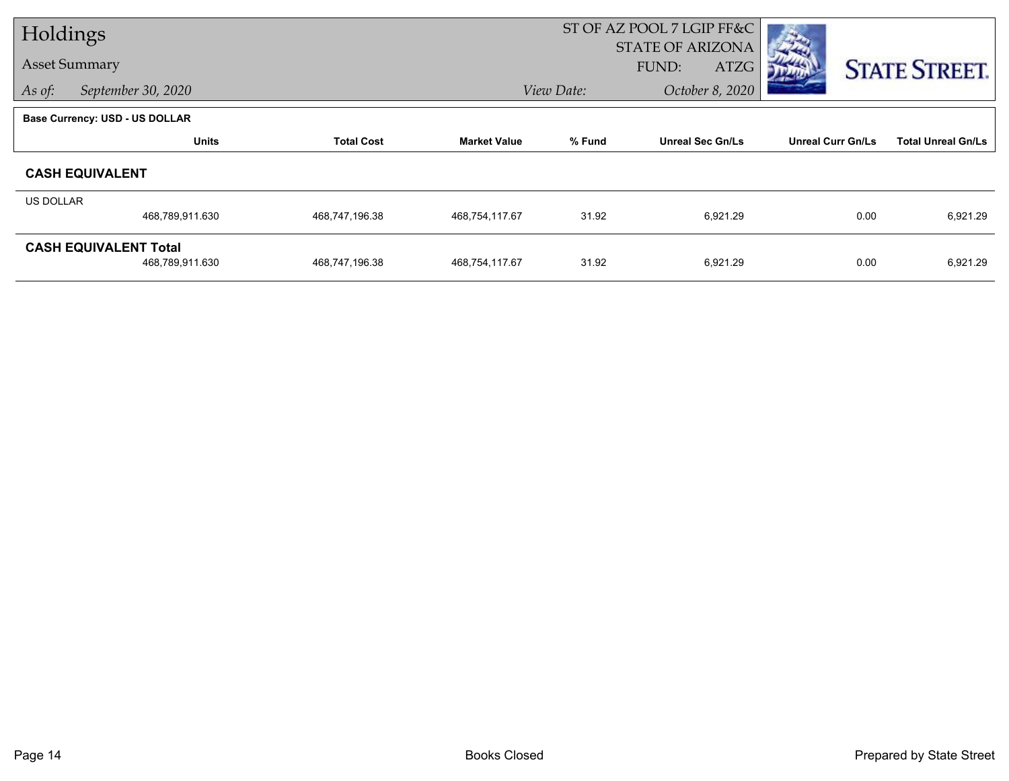| Holdings         |                                                 |                   |                     | ST OF AZ POOL 7 LGIP FF&C |                                          |                          |                           |
|------------------|-------------------------------------------------|-------------------|---------------------|---------------------------|------------------------------------------|--------------------------|---------------------------|
|                  | <b>Asset Summary</b>                            |                   |                     |                           | <b>STATE OF ARIZONA</b><br>FUND:<br>ATZG |                          | <b>STATE STREET.</b>      |
| As of:           | September 30, 2020                              | View Date:        |                     |                           | October 8, 2020                          |                          |                           |
|                  | <b>Base Currency: USD - US DOLLAR</b>           |                   |                     |                           |                                          |                          |                           |
|                  | <b>Units</b>                                    | <b>Total Cost</b> | <b>Market Value</b> | % Fund                    | <b>Unreal Sec Gn/Ls</b>                  | <b>Unreal Curr Gn/Ls</b> | <b>Total Unreal Gn/Ls</b> |
|                  | <b>CASH EQUIVALENT</b>                          |                   |                     |                           |                                          |                          |                           |
| <b>US DOLLAR</b> |                                                 |                   |                     |                           |                                          |                          |                           |
|                  | 468,789,911.630                                 | 468,747,196.38    | 468,754,117.67      | 31.92                     | 6,921.29                                 | 0.00                     | 6,921.29                  |
|                  | <b>CASH EQUIVALENT Total</b><br>468,789,911.630 | 468,747,196.38    | 468,754,117.67      | 31.92                     | 6,921.29                                 | 0.00                     | 6,921.29                  |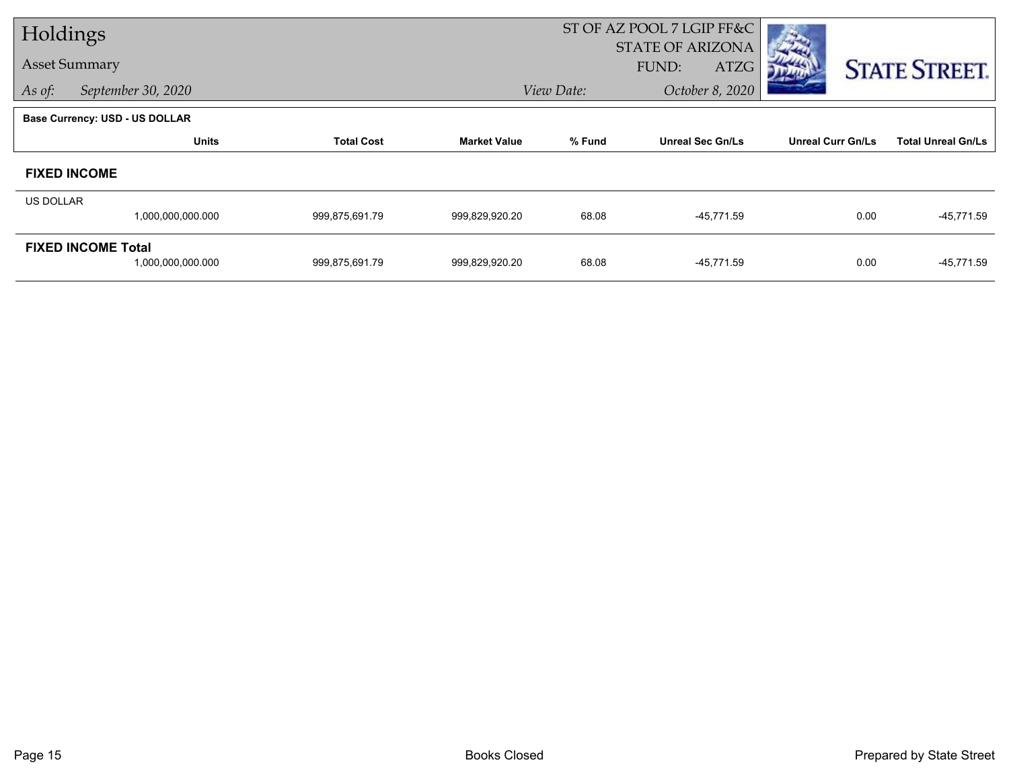| Holdings                     |                                                |                   |                     | ST OF AZ POOL 7 LGIP FF&C |                                          |                          |                           |
|------------------------------|------------------------------------------------|-------------------|---------------------|---------------------------|------------------------------------------|--------------------------|---------------------------|
| <b>Asset Summary</b>         |                                                |                   |                     |                           | <b>STATE OF ARIZONA</b><br>ATZG<br>FUND: |                          | <b>STATE STREET.</b>      |
| September 30, 2020<br>As of: |                                                |                   |                     | View Date:                | October 8, 2020                          |                          |                           |
|                              | <b>Base Currency: USD - US DOLLAR</b>          |                   |                     |                           |                                          |                          |                           |
|                              | <b>Units</b>                                   | <b>Total Cost</b> | <b>Market Value</b> | % Fund                    | <b>Unreal Sec Gn/Ls</b>                  | <b>Unreal Curr Gn/Ls</b> | <b>Total Unreal Gn/Ls</b> |
|                              | <b>FIXED INCOME</b>                            |                   |                     |                           |                                          |                          |                           |
| <b>US DOLLAR</b>             |                                                |                   |                     |                           |                                          |                          |                           |
|                              | 1,000,000,000.000                              | 999,875,691.79    | 999,829,920.20      | 68.08                     | -45,771.59                               | 0.00                     | $-45,771.59$              |
|                              | <b>FIXED INCOME Total</b><br>1,000,000,000.000 | 999,875,691.79    | 999,829,920.20      | 68.08                     | -45,771.59                               | 0.00                     | $-45,771.59$              |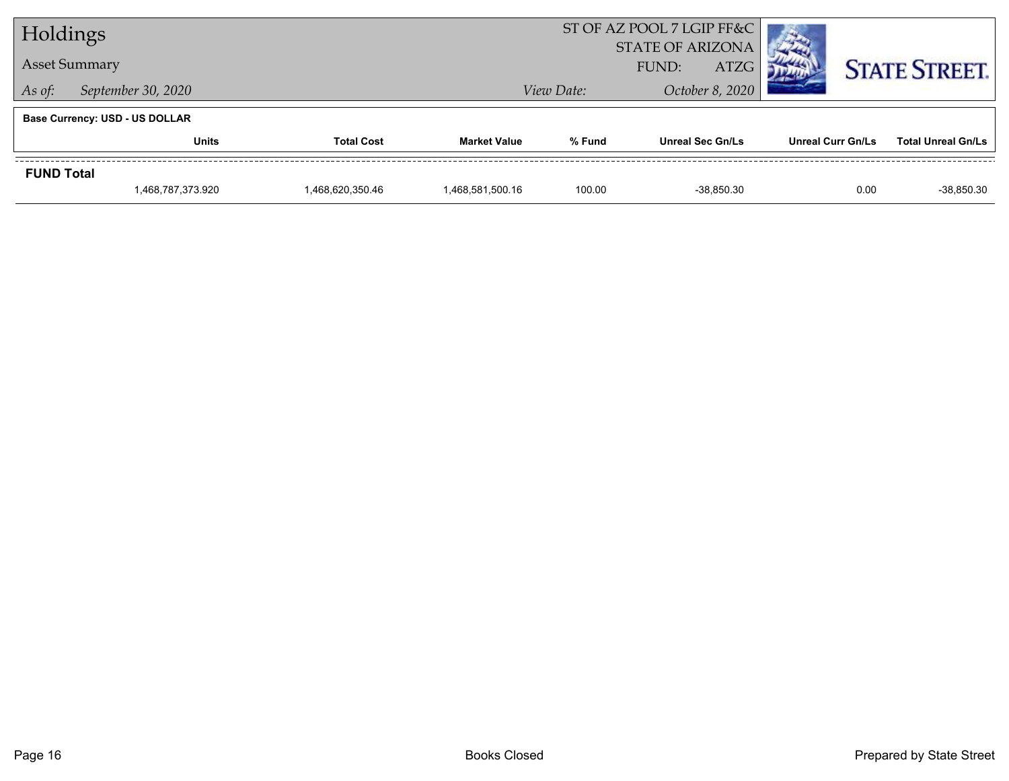| Holdings                              |                                       |                  |                     | ST OF AZ POOL 7 LGIP FF&C |                                         |                          |                           |  |
|---------------------------------------|---------------------------------------|------------------|---------------------|---------------------------|-----------------------------------------|--------------------------|---------------------------|--|
|                                       |                                       |                  |                     | <b>STATE OF ARIZONA</b>   |                                         |                          |                           |  |
| <b>Asset Summary</b>                  |                                       |                  |                     |                           | <b>ATZG</b><br>FUND:<br>October 8, 2020 |                          | <b>STATE STREET.</b>      |  |
| September 30, 2020<br>As of:          |                                       |                  |                     | View Date:                |                                         |                          |                           |  |
|                                       | <b>Base Currency: USD - US DOLLAR</b> |                  |                     |                           |                                         |                          |                           |  |
|                                       | <b>Total Cost</b><br>Units            |                  | <b>Market Value</b> | % Fund                    | <b>Unreal Sec Gn/Ls</b>                 | <b>Unreal Curr Gn/Ls</b> | <b>Total Unreal Gn/Ls</b> |  |
| <b>FUND Total</b>                     |                                       |                  |                     |                           |                                         |                          |                           |  |
| 1,468,787,373.920<br>1,468,620,350.46 |                                       | 1,468,581,500.16 | 100.00              | -38.850.30                | 0.00                                    | -38,850.30               |                           |  |